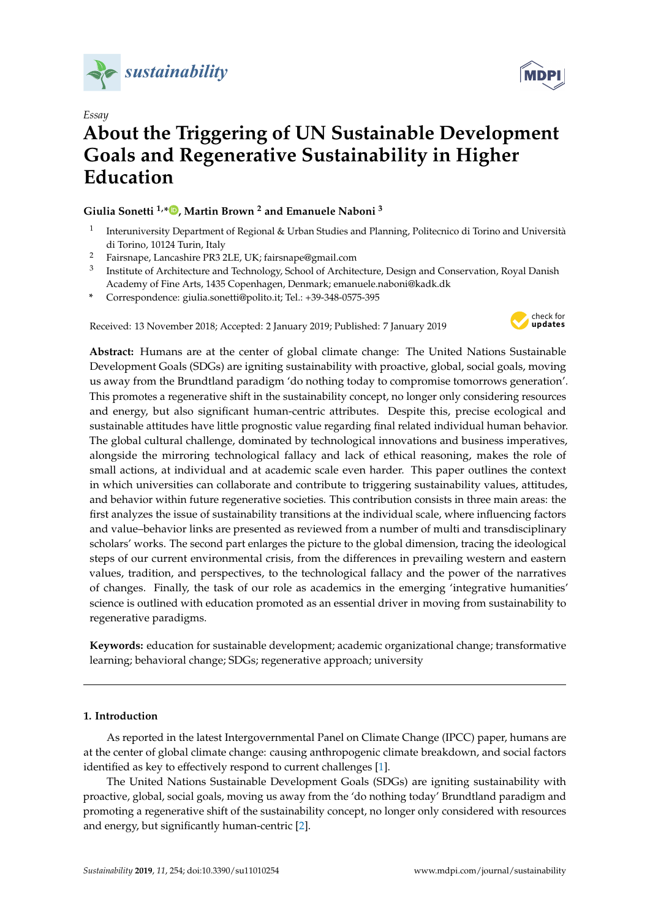

*Essay*



# **About the Triggering of UN Sustainable Development Goals and Regenerative Sustainability in Higher Education**

# **Giulia Sonetti 1,\* [,](https://orcid.org/0000-0003-1071-4296) Martin Brown <sup>2</sup> and Emanuele Naboni <sup>3</sup>**

- 1 Interuniversity Department of Regional & Urban Studies and Planning, Politecnico di Torino and Università di Torino, 10124 Turin, Italy
- <sup>2</sup> Fairsnape, Lancashire PR3 2LE, UK; fairsnape@gmail.com
- 3 Institute of Architecture and Technology, School of Architecture, Design and Conservation, Royal Danish Academy of Fine Arts, 1435 Copenhagen, Denmark; emanuele.naboni@kadk.dk
- **\*** Correspondence: giulia.sonetti@polito.it; Tel.: +39-348-0575-395

Received: 13 November 2018; Accepted: 2 January 2019; Published: 7 January 2019



**Abstract:** Humans are at the center of global climate change: The United Nations Sustainable Development Goals (SDGs) are igniting sustainability with proactive, global, social goals, moving us away from the Brundtland paradigm 'do nothing today to compromise tomorrows generation'. This promotes a regenerative shift in the sustainability concept, no longer only considering resources and energy, but also significant human-centric attributes. Despite this, precise ecological and sustainable attitudes have little prognostic value regarding final related individual human behavior. The global cultural challenge, dominated by technological innovations and business imperatives, alongside the mirroring technological fallacy and lack of ethical reasoning, makes the role of small actions, at individual and at academic scale even harder. This paper outlines the context in which universities can collaborate and contribute to triggering sustainability values, attitudes, and behavior within future regenerative societies. This contribution consists in three main areas: the first analyzes the issue of sustainability transitions at the individual scale, where influencing factors and value–behavior links are presented as reviewed from a number of multi and transdisciplinary scholars' works. The second part enlarges the picture to the global dimension, tracing the ideological steps of our current environmental crisis, from the differences in prevailing western and eastern values, tradition, and perspectives, to the technological fallacy and the power of the narratives of changes. Finally, the task of our role as academics in the emerging 'integrative humanities' science is outlined with education promoted as an essential driver in moving from sustainability to regenerative paradigms.

**Keywords:** education for sustainable development; academic organizational change; transformative learning; behavioral change; SDGs; regenerative approach; university

# **1. Introduction**

As reported in the latest Intergovernmental Panel on Climate Change (IPCC) paper, humans are at the center of global climate change: causing anthropogenic climate breakdown, and social factors identified as key to effectively respond to current challenges [\[1\]](#page-11-0).

The United Nations Sustainable Development Goals (SDGs) are igniting sustainability with proactive, global, social goals, moving us away from the 'do nothing today' Brundtland paradigm and promoting a regenerative shift of the sustainability concept, no longer only considered with resources and energy, but significantly human-centric [\[2\]](#page-11-1).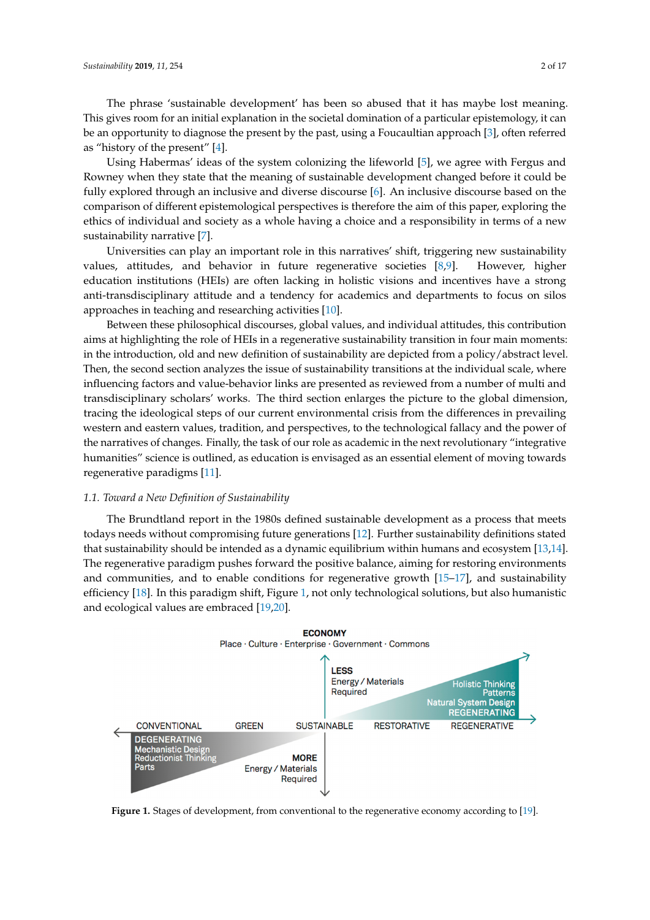The phrase 'sustainable development' has been so abused that it has maybe lost meaning. This gives room for an initial explanation in the societal domination of a particular epistemology, it can<br>. be an opportunity to diagnose the present by the past, using a Foucaultian approach [\[3\]](#page-11-2), often referred referred as "history of the present" [4]. as "history of the present" [\[4\]](#page-11-3). The phrase 'sustainable development' has been so abused that it has may be lost meaning. This may be lost meaning. This may be The phrase sustainable development has been so abused that it has inaybe fost meaning.  $U$ sion y of the present  $\lfloor 12 \rfloor$ , we are agreed with Fergus and Fergus and Fergus and Fergus and Fergus and Fergus and Fergus and Fergus and Fergus and Fergus and Fergus and Fergus and Fergus and Fergus and Fergus and

Using Habermas' ideas of the system colonizing the lifeworld [\[5\]](#page-11-4), we agree with Fergus and Rowney when they state that the meaning of sustainable development changed before it could be<br>course the course of the discourse based on the course based on the discourse based on the course of the cours fully explored through an inclusive and diverse discourse [\[6\]](#page-11-5). An inclusive discourse based on the fully explored through an inclusive aim of the aim of the aim of the aim of the aim of the aim of the aim of the aim of the comparison of different epistemological perspectives is therefore the aim of this paper, exploring the ethics of individual and society as a whole having a choice and a responsibility in terms of a new sustainability narrative [\[7\]](#page-11-6).  $\frac{R}{\sqrt{N}}$  could have mass the system cooliding the meworld  $\frac{R}{N}$ , we agree which ergos and  $U$  and  $U$  is narratives in this narrative  $\{V\}$ .

Universities can play an important role in this narratives' shift, triggering new sustainability values, attitudes, and behavior in future regenerative societies [\[8](#page-11-7)[,9\]](#page-11-8). However, higher education institutions (HEIs) are often lacking in holistic visions and incentives have a strong anti-transdisciplinary attitude and a tendency for academics and departments to focus on silos approaches in teaching and researching activities [\[10\]](#page-11-9).<br>Between these philosophical discourses, and individual attitudes, this can be attended at this continuum of th values, and behavior in future regenerations, the property of the sustainability

Between these philosophical discourses, global values, and individual attitudes, this contribution aims at highlighting the role of HEIs in a regenerative sustainability transition in four main moments: in the introduction, old and new definition of sustainability are depicted from a policy/abstract level.<br>— Then, the second section analyzes the issue of sustainability transitions at the individual scale, where influencing factors are presented as  $\tilde{r}$ influencing factors and value-behavior links are presented as reviewed from a number of multi and transmission transdisciplinary scholars' works. The third section enlarges the picture to the global dimension, tracing the ideological steps of our current environmental crisis from the differences in prevailing western and eastern values, tradition, and perspectives, to the technological fallacy and the power of the next<br>extending the next of our role as actions of our role as academic in the next of our role as a capacity of the the narratives of changes. Finally, the task of our role as academic in the next revolutionary "integrative"<br>humanities" science is outlined, as education is envisaged as an essential element of moving towards element of moving towards regenerative paradigms [11]. regenerative paradigms [\[11\]](#page-11-10).

# *1.1. Toward a New Definition of Sustainability 1.1. Toward a New Definition of Sustainability*

The Brundtland report in the 1980s defined sustainable development as a process that meets The Brundtland report in the 1980s defined sustainable development as a process that meets todays needs without compromising future generations [\[12\]](#page-11-11). Further sustainability definitions stated todays needs without compromising future generations [12]. Further sustainability definitions stated that sustainability should be intended as a dynamic equilibrium within humans and ecosystem [\[13](#page-12-0)[,14\]](#page-12-1). that sustainability should be intended as a dynamic equilibrium within humans and ecosystem [13,14]. The regenerative paradigm pushes forward the positive balance, aiming for restoring environments The regenerative paradigm pushes forward the positive balance, aiming for restoring environments and communities, and to enable conditions for regenerative growth [\[15](#page-12-2)[–17\]](#page-12-3), and sustainability and communities, and to enable conditions for regenerative growth [15–17], and sustainability efficiency [\[18\]](#page-12-4). In this paradigm shift, Figure [1,](#page-1-0) not only technological solutions, but also humanistic efficiency [18]. In this paradigm shift, Figure 1, not only technological solutions, but also humanistic and ecological values are embraced [\[19,](#page-12-5)[20\]](#page-12-6). and ecological values are embraced [19,20].

<span id="page-1-0"></span>

**Figure 1.** Stages of development, from conventional to the regenerative economy according to [19]. **Figure 1.** Stages of development, from conventional to the regenerative economy according to [\[19\]](#page-12-5).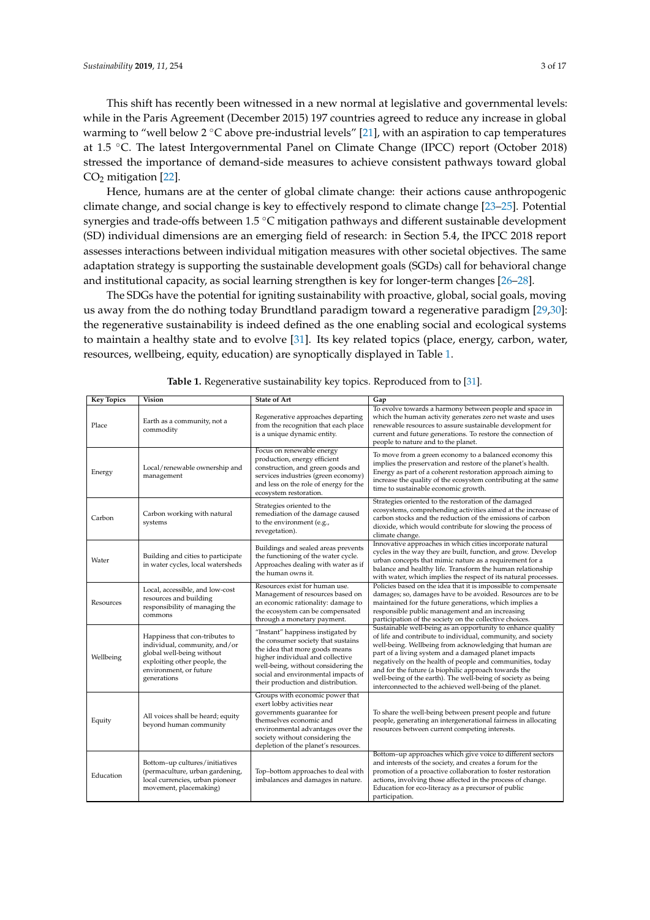This shift has recently been witnessed in a new normal at legislative and governmental levels: while in the Paris Agreement (December 2015) 197 countries agreed to reduce any increase in global warming to "well below  $2 \degree C$  above pre-industrial levels" [\[21\]](#page-12-7), with an aspiration to cap temperatures at 1.5 ◦C. The latest Intergovernmental Panel on Climate Change (IPCC) report (October 2018) stressed the importance of demand-side measures to achieve consistent pathways toward global  $CO<sub>2</sub>$  mitigation [\[22\]](#page-12-8).

Hence, humans are at the center of global climate change: their actions cause anthropogenic climate change, and social change is key to effectively respond to climate change [\[23](#page-12-9)[–25\]](#page-12-10). Potential synergies and trade-offs between 1.5 ℃ mitigation pathways and different sustainable development (SD) individual dimensions are an emerging field of research: in Section 5.4, the IPCC 2018 report assesses interactions between individual mitigation measures with other societal objectives. The same adaptation strategy is supporting the sustainable development goals (SGDs) call for behavioral change and institutional capacity, as social learning strengthen is key for longer-term changes [\[26](#page-12-11)[–28\]](#page-12-12).

The SDGs have the potential for igniting sustainability with proactive, global, social goals, moving us away from the do nothing today Brundtland paradigm toward a regenerative paradigm [\[29,](#page-12-13)[30\]](#page-12-14): the regenerative sustainability is indeed defined as the one enabling social and ecological systems to maintain a healthy state and to evolve [\[31\]](#page-12-15). Its key related topics (place, energy, carbon, water, resources, wellbeing, equity, education) are synoptically displayed in Table [1.](#page-2-0)

<span id="page-2-0"></span>

| <b>Key Topics</b> | Vision                                                                                                                                                                | <b>State of Art</b>                                                                                                                                                                                                                                               | Gap                                                                                                                                                                                                                                                                                                                                                                                                                                                                                             |
|-------------------|-----------------------------------------------------------------------------------------------------------------------------------------------------------------------|-------------------------------------------------------------------------------------------------------------------------------------------------------------------------------------------------------------------------------------------------------------------|-------------------------------------------------------------------------------------------------------------------------------------------------------------------------------------------------------------------------------------------------------------------------------------------------------------------------------------------------------------------------------------------------------------------------------------------------------------------------------------------------|
| Place             | Earth as a community, not a<br>commodity                                                                                                                              | Regenerative approaches departing<br>from the recognition that each place<br>is a unique dynamic entity.                                                                                                                                                          | To evolve towards a harmony between people and space in<br>which the human activity generates zero net waste and uses<br>renewable resources to assure sustainable development for<br>current and future generations. To restore the connection of<br>people to nature and to the planet.                                                                                                                                                                                                       |
| Energy            | Local/renewable ownership and<br>management                                                                                                                           | Focus on renewable energy<br>production, energy efficient<br>construction, and green goods and<br>services industries (green economy)<br>and less on the role of energy for the<br>ecosystem restoration.                                                         | To move from a green economy to a balanced economy this<br>implies the preservation and restore of the planet's health.<br>Energy as part of a coherent restoration approach aiming to<br>increase the quality of the ecosystem contributing at the same<br>time to sustainable economic growth.                                                                                                                                                                                                |
| Carbon            | Carbon working with natural<br>systems                                                                                                                                | Strategies oriented to the<br>remediation of the damage caused<br>to the environment (e.g.,<br>revegetation).                                                                                                                                                     | Strategies oriented to the restoration of the damaged<br>ecosystems, comprehending activities aimed at the increase of<br>carbon stocks and the reduction of the emissions of carbon<br>dioxide, which would contribute for slowing the process of<br>climate change.                                                                                                                                                                                                                           |
| Water             | Building and cities to participate<br>in water cycles, local watersheds                                                                                               | Buildings and sealed areas prevents<br>the functioning of the water cycle.<br>Approaches dealing with water as if<br>the human owns it.                                                                                                                           | Innovative approaches in which cities incorporate natural<br>cycles in the way they are built, function, and grow. Develop<br>urban concepts that mimic nature as a requirement for a<br>balance and healthy life. Transform the human relationship<br>with water, which implies the respect of its natural processes.                                                                                                                                                                          |
| Resources         | Local, accessible, and low-cost<br>resources and building<br>responsibility of managing the<br>commons                                                                | Resources exist for human use.<br>Management of resources based on<br>an economic rationality: damage to<br>the ecosystem can be compensated<br>through a monetary payment.                                                                                       | Policies based on the idea that it is impossible to compensate<br>damages; so, damages have to be avoided. Resources are to be<br>maintained for the future generations, which implies a<br>responsible public management and an increasing<br>participation of the society on the collective choices.                                                                                                                                                                                          |
| Wellbeing         | Happiness that con-tributes to<br>individual, community, and/or<br>global well-being without<br>exploiting other people, the<br>environment, or future<br>generations | "Instant" happiness instigated by<br>the consumer society that sustains<br>the idea that more goods means<br>higher individual and collective<br>well-being, without considering the<br>social and environmental impacts of<br>their production and distribution. | Sustainable well-being as an opportunity to enhance quality<br>of life and contribute to individual, community, and society<br>well-being. Wellbeing from acknowledging that human are<br>part of a living system and a damaged planet impacts<br>negatively on the health of people and communities, today<br>and for the future (a biophilic approach towards the<br>well-being of the earth). The well-being of society as being<br>interconnected to the achieved well-being of the planet. |
| Equity            | All voices shall be heard; equity<br>beyond human community                                                                                                           | Groups with economic power that<br>exert lobby activities near<br>governments guarantee for<br>themselves economic and<br>environmental advantages over the<br>society without considering the<br>depletion of the planet's resources.                            | To share the well-being between present people and future<br>people, generating an intergenerational fairness in allocating<br>resources between current competing interests.                                                                                                                                                                                                                                                                                                                   |
| Education         | Bottom-up cultures/initiatives<br>(permaculture, urban gardening,<br>local currencies, urban pioneer<br>movement, placemaking)                                        | Top-bottom approaches to deal with<br>imbalances and damages in nature.                                                                                                                                                                                           | Bottom-up approaches which give voice to different sectors<br>and interests of the society, and creates a forum for the<br>promotion of a proactive collaboration to foster restoration<br>actions, involving those affected in the process of change.<br>Education for eco-literacy as a precursor of public<br>participation.                                                                                                                                                                 |

**Table 1.** Regenerative sustainability key topics. Reproduced from to [\[31\]](#page-12-15).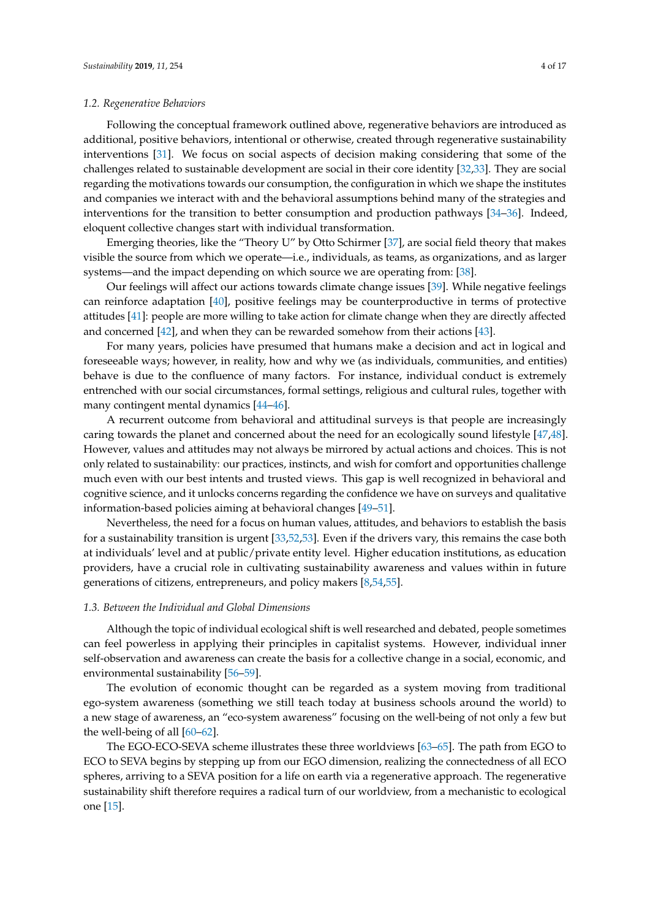### *1.2. Regenerative Behaviors*

Following the conceptual framework outlined above, regenerative behaviors are introduced as additional, positive behaviors, intentional or otherwise, created through regenerative sustainability interventions [\[31\]](#page-12-15). We focus on social aspects of decision making considering that some of the challenges related to sustainable development are social in their core identity [\[32,](#page-12-16)[33\]](#page-12-17). They are social regarding the motivations towards our consumption, the configuration in which we shape the institutes and companies we interact with and the behavioral assumptions behind many of the strategies and interventions for the transition to better consumption and production pathways [\[34](#page-12-18)[–36\]](#page-12-19). Indeed, eloquent collective changes start with individual transformation.

Emerging theories, like the "Theory U" by Otto Schirmer [\[37\]](#page-12-20), are social field theory that makes visible the source from which we operate—i.e., individuals, as teams, as organizations, and as larger systems—and the impact depending on which source we are operating from: [\[38\]](#page-13-0).

Our feelings will affect our actions towards climate change issues [\[39\]](#page-13-1). While negative feelings can reinforce adaptation [\[40\]](#page-13-2), positive feelings may be counterproductive in terms of protective attitudes [\[41\]](#page-13-3): people are more willing to take action for climate change when they are directly affected and concerned [\[42\]](#page-13-4), and when they can be rewarded somehow from their actions [\[43\]](#page-13-5).

For many years, policies have presumed that humans make a decision and act in logical and foreseeable ways; however, in reality, how and why we (as individuals, communities, and entities) behave is due to the confluence of many factors. For instance, individual conduct is extremely entrenched with our social circumstances, formal settings, religious and cultural rules, together with many contingent mental dynamics [\[44](#page-13-6)[–46\]](#page-13-7).

A recurrent outcome from behavioral and attitudinal surveys is that people are increasingly caring towards the planet and concerned about the need for an ecologically sound lifestyle [\[47,](#page-13-8)[48\]](#page-13-9). However, values and attitudes may not always be mirrored by actual actions and choices. This is not only related to sustainability: our practices, instincts, and wish for comfort and opportunities challenge much even with our best intents and trusted views. This gap is well recognized in behavioral and cognitive science, and it unlocks concerns regarding the confidence we have on surveys and qualitative information-based policies aiming at behavioral changes [\[49](#page-13-10)[–51\]](#page-13-11).

Nevertheless, the need for a focus on human values, attitudes, and behaviors to establish the basis for a sustainability transition is urgent [\[33](#page-12-17)[,52](#page-13-12)[,53\]](#page-13-13). Even if the drivers vary, this remains the case both at individuals' level and at public/private entity level. Higher education institutions, as education providers, have a crucial role in cultivating sustainability awareness and values within in future generations of citizens, entrepreneurs, and policy makers [\[8,](#page-11-7)[54,](#page-13-14)[55\]](#page-13-15).

#### *1.3. Between the Individual and Global Dimensions*

Although the topic of individual ecological shift is well researched and debated, people sometimes can feel powerless in applying their principles in capitalist systems. However, individual inner self-observation and awareness can create the basis for a collective change in a social, economic, and environmental sustainability [\[56–](#page-13-16)[59\]](#page-13-17).

The evolution of economic thought can be regarded as a system moving from traditional ego-system awareness (something we still teach today at business schools around the world) to a new stage of awareness, an "eco-system awareness" focusing on the well-being of not only a few but the well-being of all  $[60-62]$  $[60-62]$ .

The EGO-ECO-SEVA scheme illustrates these three worldviews [\[63–](#page-14-0)[65\]](#page-14-1). The path from EGO to ECO to SEVA begins by stepping up from our EGO dimension, realizing the connectedness of all ECO spheres, arriving to a SEVA position for a life on earth via a regenerative approach. The regenerative sustainability shift therefore requires a radical turn of our worldview, from a mechanistic to ecological one [\[15\]](#page-12-2).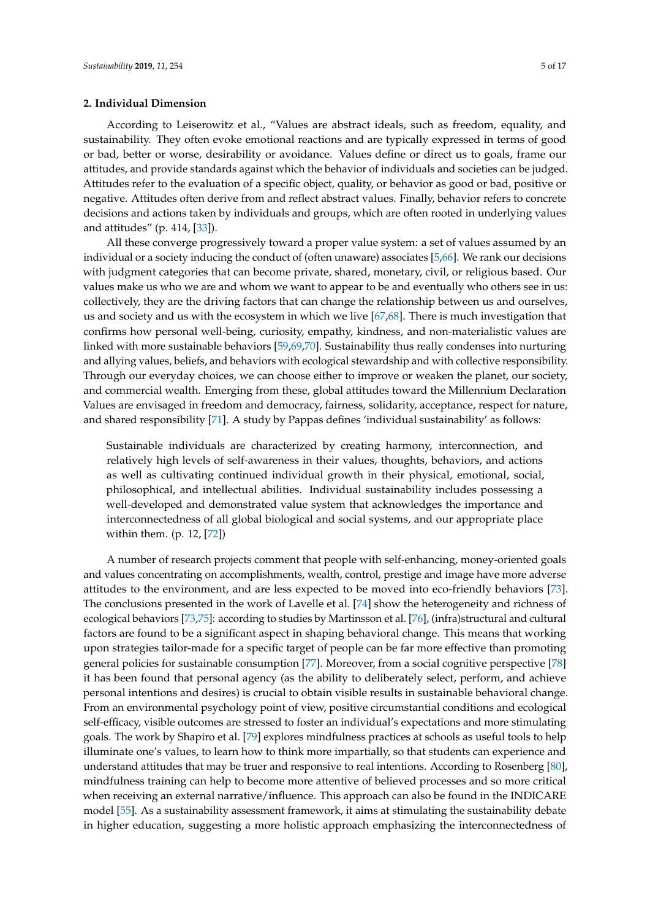#### **2. Individual Dimension**

According to Leiserowitz et al., "Values are abstract ideals, such as freedom, equality, and sustainability. They often evoke emotional reactions and are typically expressed in terms of good or bad, better or worse, desirability or avoidance. Values define or direct us to goals, frame our attitudes, and provide standards against which the behavior of individuals and societies can be judged. Attitudes refer to the evaluation of a specific object, quality, or behavior as good or bad, positive or negative. Attitudes often derive from and reflect abstract values. Finally, behavior refers to concrete decisions and actions taken by individuals and groups, which are often rooted in underlying values and attitudes" (p. 414, [\[33\]](#page-12-17)).

All these converge progressively toward a proper value system: a set of values assumed by an individual or a society inducing the conduct of (often unaware) associates [\[5,](#page-11-4)[66\]](#page-14-2). We rank our decisions with judgment categories that can become private, shared, monetary, civil, or religious based. Our values make us who we are and whom we want to appear to be and eventually who others see in us: collectively, they are the driving factors that can change the relationship between us and ourselves, us and society and us with the ecosystem in which we live [\[67,](#page-14-3)[68\]](#page-14-4). There is much investigation that confirms how personal well-being, curiosity, empathy, kindness, and non-materialistic values are linked with more sustainable behaviors [\[59,](#page-13-17)[69,](#page-14-5)[70\]](#page-14-6). Sustainability thus really condenses into nurturing and allying values, beliefs, and behaviors with ecological stewardship and with collective responsibility. Through our everyday choices, we can choose either to improve or weaken the planet, our society, and commercial wealth. Emerging from these, global attitudes toward the Millennium Declaration Values are envisaged in freedom and democracy, fairness, solidarity, acceptance, respect for nature, and shared responsibility [\[71\]](#page-14-7). A study by Pappas defines 'individual sustainability' as follows:

Sustainable individuals are characterized by creating harmony, interconnection, and relatively high levels of self-awareness in their values, thoughts, behaviors, and actions as well as cultivating continued individual growth in their physical, emotional, social, philosophical, and intellectual abilities. Individual sustainability includes possessing a well-developed and demonstrated value system that acknowledges the importance and interconnectedness of all global biological and social systems, and our appropriate place within them. (p. 12, [\[72\]](#page-14-8))

A number of research projects comment that people with self-enhancing, money-oriented goals and values concentrating on accomplishments, wealth, control, prestige and image have more adverse attitudes to the environment, and are less expected to be moved into eco-friendly behaviors [\[73\]](#page-14-9). The conclusions presented in the work of Lavelle et al. [\[74\]](#page-14-10) show the heterogeneity and richness of ecological behaviors [\[73,](#page-14-9)[75\]](#page-14-11): according to studies by Martinsson et al. [\[76\]](#page-14-12), (infra)structural and cultural factors are found to be a significant aspect in shaping behavioral change. This means that working upon strategies tailor-made for a specific target of people can be far more effective than promoting general policies for sustainable consumption [\[77\]](#page-14-13). Moreover, from a social cognitive perspective [\[78\]](#page-14-14) it has been found that personal agency (as the ability to deliberately select, perform, and achieve personal intentions and desires) is crucial to obtain visible results in sustainable behavioral change. From an environmental psychology point of view, positive circumstantial conditions and ecological self-efficacy, visible outcomes are stressed to foster an individual's expectations and more stimulating goals. The work by Shapiro et al. [\[79\]](#page-14-15) explores mindfulness practices at schools as useful tools to help illuminate one's values, to learn how to think more impartially, so that students can experience and understand attitudes that may be truer and responsive to real intentions. According to Rosenberg [\[80\]](#page-14-16), mindfulness training can help to become more attentive of believed processes and so more critical when receiving an external narrative/influence. This approach can also be found in the INDICARE model [\[55\]](#page-13-15). As a sustainability assessment framework, it aims at stimulating the sustainability debate in higher education, suggesting a more holistic approach emphasizing the interconnectedness of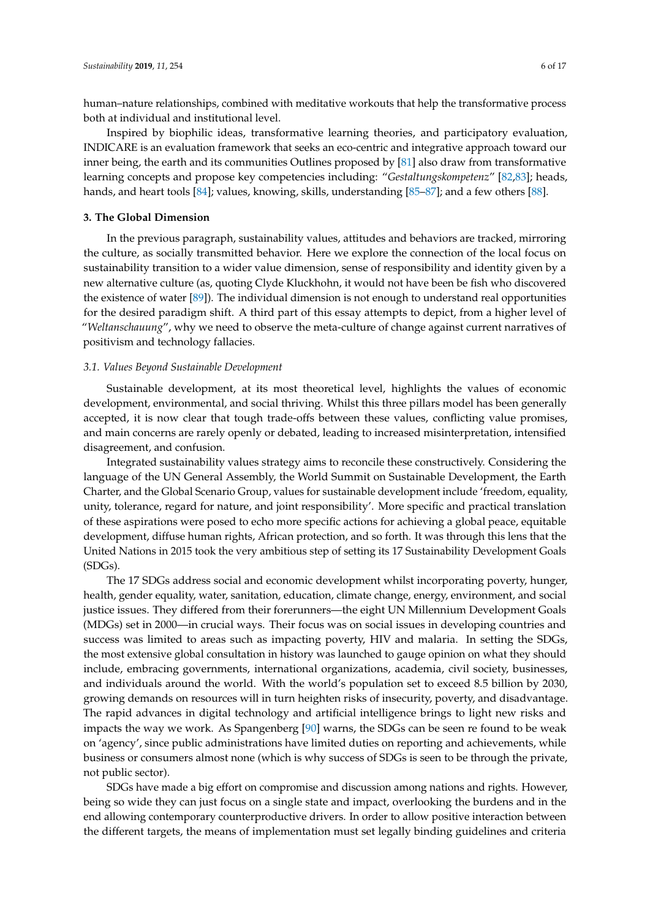human–nature relationships, combined with meditative workouts that help the transformative process both at individual and institutional level.

Inspired by biophilic ideas, transformative learning theories, and participatory evaluation, INDICARE is an evaluation framework that seeks an eco-centric and integrative approach toward our inner being, the earth and its communities Outlines proposed by [\[81\]](#page-14-17) also draw from transformative learning concepts and propose key competencies including: "*Gestaltungskompetenz*" [\[82,](#page-14-18)[83\]](#page-14-19); heads, hands, and heart tools [\[84\]](#page-14-20); values, knowing, skills, understanding [\[85–](#page-14-21)[87\]](#page-15-0); and a few others [\[88\]](#page-15-1).

#### **3. The Global Dimension**

In the previous paragraph, sustainability values, attitudes and behaviors are tracked, mirroring the culture, as socially transmitted behavior. Here we explore the connection of the local focus on sustainability transition to a wider value dimension, sense of responsibility and identity given by a new alternative culture (as, quoting Clyde Kluckhohn, it would not have been be fish who discovered the existence of water [\[89\]](#page-15-2)). The individual dimension is not enough to understand real opportunities for the desired paradigm shift. A third part of this essay attempts to depict, from a higher level of "*Weltanschauung*", why we need to observe the meta-culture of change against current narratives of positivism and technology fallacies.

#### *3.1. Values Beyond Sustainable Development*

Sustainable development, at its most theoretical level, highlights the values of economic development, environmental, and social thriving. Whilst this three pillars model has been generally accepted, it is now clear that tough trade-offs between these values, conflicting value promises, and main concerns are rarely openly or debated, leading to increased misinterpretation, intensified disagreement, and confusion.

Integrated sustainability values strategy aims to reconcile these constructively. Considering the language of the UN General Assembly, the World Summit on Sustainable Development, the Earth Charter, and the Global Scenario Group, values for sustainable development include 'freedom, equality, unity, tolerance, regard for nature, and joint responsibility'. More specific and practical translation of these aspirations were posed to echo more specific actions for achieving a global peace, equitable development, diffuse human rights, African protection, and so forth. It was through this lens that the United Nations in 2015 took the very ambitious step of setting its 17 Sustainability Development Goals (SDGs).

The 17 SDGs address social and economic development whilst incorporating poverty, hunger, health, gender equality, water, sanitation, education, climate change, energy, environment, and social justice issues. They differed from their forerunners—the eight UN Millennium Development Goals (MDGs) set in 2000—in crucial ways. Their focus was on social issues in developing countries and success was limited to areas such as impacting poverty, HIV and malaria. In setting the SDGs, the most extensive global consultation in history was launched to gauge opinion on what they should include, embracing governments, international organizations, academia, civil society, businesses, and individuals around the world. With the world's population set to exceed 8.5 billion by 2030, growing demands on resources will in turn heighten risks of insecurity, poverty, and disadvantage. The rapid advances in digital technology and artificial intelligence brings to light new risks and impacts the way we work. As Spangenberg [\[90\]](#page-15-3) warns, the SDGs can be seen re found to be weak on 'agency', since public administrations have limited duties on reporting and achievements, while business or consumers almost none (which is why success of SDGs is seen to be through the private, not public sector).

SDGs have made a big effort on compromise and discussion among nations and rights. However, being so wide they can just focus on a single state and impact, overlooking the burdens and in the end allowing contemporary counterproductive drivers. In order to allow positive interaction between the different targets, the means of implementation must set legally binding guidelines and criteria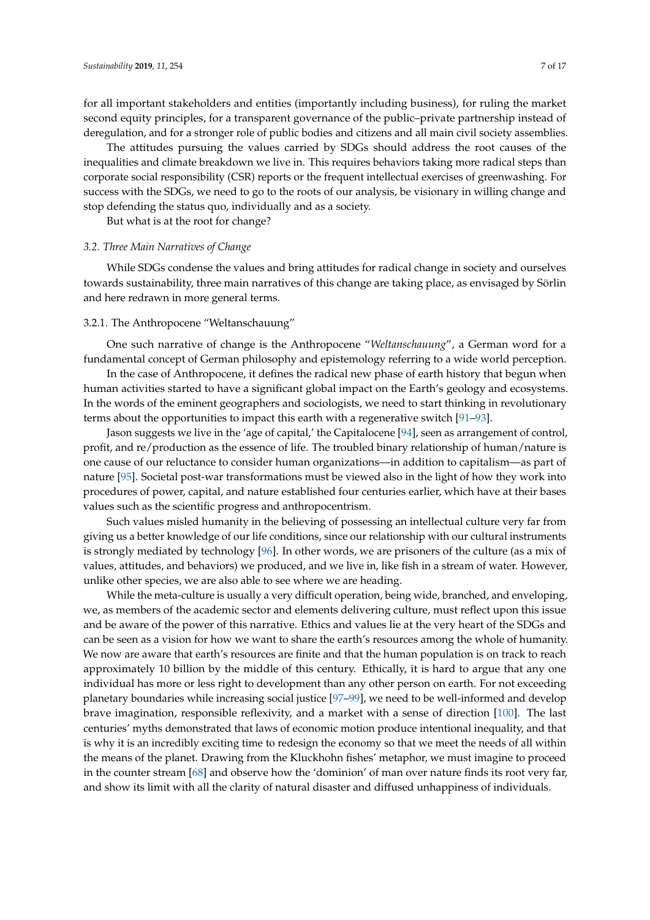for all important stakeholders and entities (importantly including business), for ruling the market second equity principles, for a transparent governance of the public–private partnership instead of deregulation, and for a stronger role of public bodies and citizens and all main civil society assemblies.

The attitudes pursuing the values carried by SDGs should address the root causes of the inequalities and climate breakdown we live in. This requires behaviors taking more radical steps than corporate social responsibility (CSR) reports or the frequent intellectual exercises of greenwashing. For success with the SDGs, we need to go to the roots of our analysis, be visionary in willing change and stop defending the status quo, individually and as a society.

But what is at the root for change?

#### *3.2. Three Main Narratives of Change*

While SDGs condense the values and bring attitudes for radical change in society and ourselves towards sustainability, three main narratives of this change are taking place, as envisaged by Sörlin and here redrawn in more general terms.

#### 3.2.1. The Anthropocene "Weltanschauung"

One such narrative of change is the Anthropocene "*Weltanschauung*", a German word for a fundamental concept of German philosophy and epistemology referring to a wide world perception.

In the case of Anthropocene, it defines the radical new phase of earth history that begun when human activities started to have a significant global impact on the Earth's geology and ecosystems. In the words of the eminent geographers and sociologists, we need to start thinking in revolutionary terms about the opportunities to impact this earth with a regenerative switch [\[91](#page-15-4)[–93\]](#page-15-5).

Jason suggests we live in the 'age of capital,' the Capitalocene [\[94\]](#page-15-6), seen as arrangement of control, profit, and re/production as the essence of life. The troubled binary relationship of human/nature is one cause of our reluctance to consider human organizations—in addition to capitalism—as part of nature [\[95\]](#page-15-7). Societal post-war transformations must be viewed also in the light of how they work into procedures of power, capital, and nature established four centuries earlier, which have at their bases values such as the scientific progress and anthropocentrism.

Such values misled humanity in the believing of possessing an intellectual culture very far from giving us a better knowledge of our life conditions, since our relationship with our cultural instruments is strongly mediated by technology [\[96\]](#page-15-8). In other words, we are prisoners of the culture (as a mix of values, attitudes, and behaviors) we produced, and we live in, like fish in a stream of water. However, unlike other species, we are also able to see where we are heading.

While the meta-culture is usually a very difficult operation, being wide, branched, and enveloping, we, as members of the academic sector and elements delivering culture, must reflect upon this issue and be aware of the power of this narrative. Ethics and values lie at the very heart of the SDGs and can be seen as a vision for how we want to share the earth's resources among the whole of humanity. We now are aware that earth's resources are finite and that the human population is on track to reach approximately 10 billion by the middle of this century. Ethically, it is hard to argue that any one individual has more or less right to development than any other person on earth. For not exceeding planetary boundaries while increasing social justice [\[97–](#page-15-9)[99\]](#page-15-10), we need to be well-informed and develop brave imagination, responsible reflexivity, and a market with a sense of direction [\[100\]](#page-15-11). The last centuries' myths demonstrated that laws of economic motion produce intentional inequality, and that is why it is an incredibly exciting time to redesign the economy so that we meet the needs of all within the means of the planet. Drawing from the Kluckhohn fishes' metaphor, we must imagine to proceed in the counter stream [\[68\]](#page-14-4) and observe how the 'dominion' of man over nature finds its root very far, and show its limit with all the clarity of natural disaster and diffused unhappiness of individuals.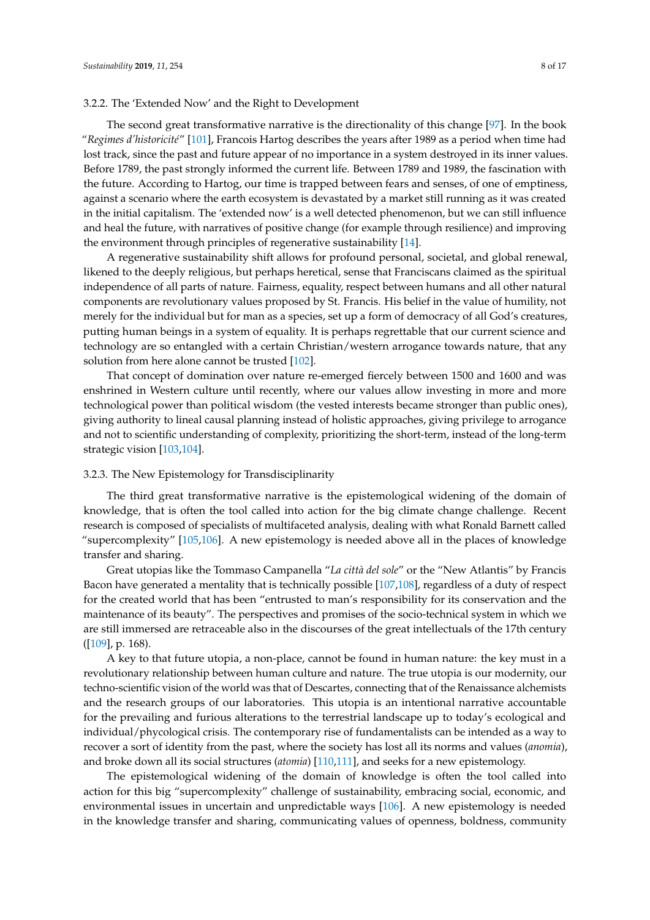#### 3.2.2. The 'Extended Now' and the Right to Development

The second great transformative narrative is the directionality of this change [\[97\]](#page-15-9). In the book "*Regimes d'historicité*" [\[101\]](#page-15-12), Francois Hartog describes the years after 1989 as a period when time had lost track, since the past and future appear of no importance in a system destroyed in its inner values. Before 1789, the past strongly informed the current life. Between 1789 and 1989, the fascination with the future. According to Hartog, our time is trapped between fears and senses, of one of emptiness, against a scenario where the earth ecosystem is devastated by a market still running as it was created in the initial capitalism. The 'extended now' is a well detected phenomenon, but we can still influence and heal the future, with narratives of positive change (for example through resilience) and improving the environment through principles of regenerative sustainability [\[14\]](#page-12-1).

A regenerative sustainability shift allows for profound personal, societal, and global renewal, likened to the deeply religious, but perhaps heretical, sense that Franciscans claimed as the spiritual independence of all parts of nature. Fairness, equality, respect between humans and all other natural components are revolutionary values proposed by St. Francis. His belief in the value of humility, not merely for the individual but for man as a species, set up a form of democracy of all God's creatures, putting human beings in a system of equality. It is perhaps regrettable that our current science and technology are so entangled with a certain Christian/western arrogance towards nature, that any solution from here alone cannot be trusted [\[102\]](#page-15-13).

That concept of domination over nature re-emerged fiercely between 1500 and 1600 and was enshrined in Western culture until recently, where our values allow investing in more and more technological power than political wisdom (the vested interests became stronger than public ones), giving authority to lineal causal planning instead of holistic approaches, giving privilege to arrogance and not to scientific understanding of complexity, prioritizing the short-term, instead of the long-term strategic vision [\[103](#page-15-14)[,104\]](#page-15-15).

#### 3.2.3. The New Epistemology for Transdisciplinarity

The third great transformative narrative is the epistemological widening of the domain of knowledge, that is often the tool called into action for the big climate change challenge. Recent research is composed of specialists of multifaceted analysis, dealing with what Ronald Barnett called "supercomplexity" [\[105](#page-15-16)[,106\]](#page-15-17). A new epistemology is needed above all in the places of knowledge transfer and sharing.

Great utopias like the Tommaso Campanella "*La città del sole*" or the "New Atlantis" by Francis Bacon have generated a mentality that is technically possible [\[107,](#page-15-18)[108\]](#page-15-19), regardless of a duty of respect for the created world that has been "entrusted to man's responsibility for its conservation and the maintenance of its beauty". The perspectives and promises of the socio-technical system in which we are still immersed are retraceable also in the discourses of the great intellectuals of the 17th century ([\[109\]](#page-15-20), p. 168).

A key to that future utopia, a non-place, cannot be found in human nature: the key must in a revolutionary relationship between human culture and nature. The true utopia is our modernity, our techno-scientific vision of the world was that of Descartes, connecting that of the Renaissance alchemists and the research groups of our laboratories. This utopia is an intentional narrative accountable for the prevailing and furious alterations to the terrestrial landscape up to today's ecological and individual/phycological crisis. The contemporary rise of fundamentalists can be intended as a way to recover a sort of identity from the past, where the society has lost all its norms and values (*anomia*), and broke down all its social structures (*atomia*) [\[110](#page-15-21)[,111\]](#page-15-22), and seeks for a new epistemology.

The epistemological widening of the domain of knowledge is often the tool called into action for this big "supercomplexity" challenge of sustainability, embracing social, economic, and environmental issues in uncertain and unpredictable ways [\[106\]](#page-15-17). A new epistemology is needed in the knowledge transfer and sharing, communicating values of openness, boldness, community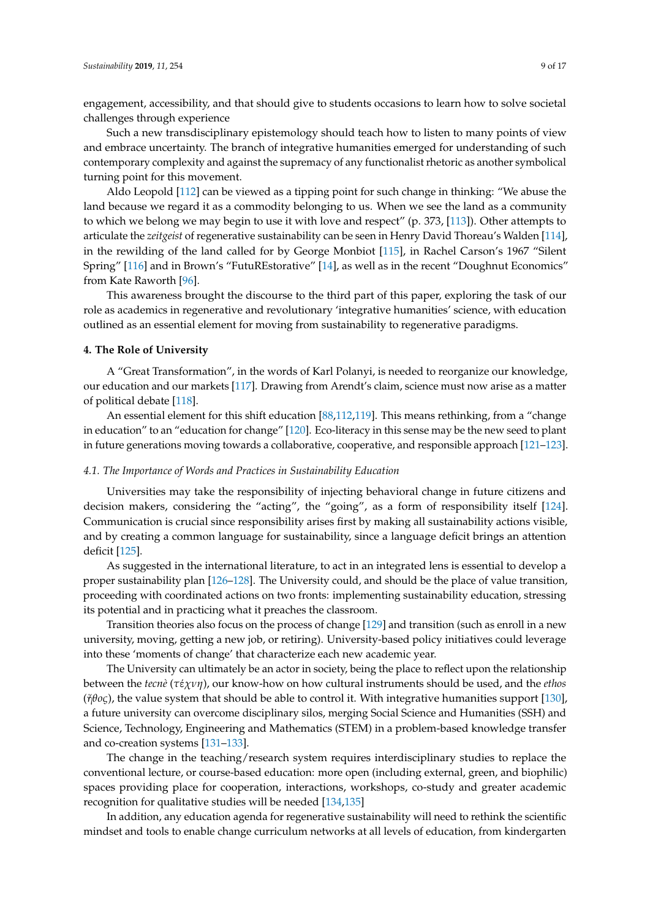engagement, accessibility, and that should give to students occasions to learn how to solve societal challenges through experience

Such a new transdisciplinary epistemology should teach how to listen to many points of view and embrace uncertainty. The branch of integrative humanities emerged for understanding of such contemporary complexity and against the supremacy of any functionalist rhetoric as another symbolical turning point for this movement.

Aldo Leopold [\[112\]](#page-15-23) can be viewed as a tipping point for such change in thinking: "We abuse the land because we regard it as a commodity belonging to us. When we see the land as a community to which we belong we may begin to use it with love and respect" (p. 373, [\[113\]](#page-15-24)). Other attempts to articulate the *zeitgeist* of regenerative sustainability can be seen in Henry David Thoreau's Walden [\[114\]](#page-15-25), in the rewilding of the land called for by George Monbiot [\[115\]](#page-15-26), in Rachel Carson's 1967 "Silent Spring" [\[116\]](#page-15-27) and in Brown's "FutuREstorative" [\[14\]](#page-12-1), as well as in the recent "Doughnut Economics" from Kate Raworth [\[96\]](#page-15-8).

This awareness brought the discourse to the third part of this paper, exploring the task of our role as academics in regenerative and revolutionary 'integrative humanities' science, with education outlined as an essential element for moving from sustainability to regenerative paradigms.

#### **4. The Role of University**

A "Great Transformation", in the words of Karl Polanyi, is needed to reorganize our knowledge, our education and our markets [\[117\]](#page-15-28). Drawing from Arendt's claim, science must now arise as a matter of political debate [\[118\]](#page-15-29).

An essential element for this shift education [\[88](#page-15-1)[,112,](#page-15-23)[119\]](#page-15-30). This means rethinking, from a "change in education" to an "education for change" [\[120\]](#page-16-0). Eco-literacy in this sense may be the new seed to plant in future generations moving towards a collaborative, cooperative, and responsible approach [\[121–](#page-16-1)[123\]](#page-16-2).

#### *4.1. The Importance of Words and Practices in Sustainability Education*

Universities may take the responsibility of injecting behavioral change in future citizens and decision makers, considering the "acting", the "going", as a form of responsibility itself [\[124\]](#page-16-3). Communication is crucial since responsibility arises first by making all sustainability actions visible, and by creating a common language for sustainability, since a language deficit brings an attention deficit [\[125\]](#page-16-4).

As suggested in the international literature, to act in an integrated lens is essential to develop a proper sustainability plan [\[126](#page-16-5)[–128\]](#page-16-6). The University could, and should be the place of value transition, proceeding with coordinated actions on two fronts: implementing sustainability education, stressing its potential and in practicing what it preaches the classroom.

Transition theories also focus on the process of change [\[129\]](#page-16-7) and transition (such as enroll in a new university, moving, getting a new job, or retiring). University-based policy initiatives could leverage into these 'moments of change' that characterize each new academic year.

The University can ultimately be an actor in society, being the place to reflect upon the relationship between the *tecnè* (*τ*έ*χνη*), our know-how on how cultural instruments should be used, and the *ethos* (ἦ*θoς*), the value system that should be able to control it. With integrative humanities support [\[130\]](#page-16-8), a future university can overcome disciplinary silos, merging Social Science and Humanities (SSH) and Science, Technology, Engineering and Mathematics (STEM) in a problem-based knowledge transfer and co-creation systems [\[131–](#page-16-9)[133\]](#page-16-10).

The change in the teaching/research system requires interdisciplinary studies to replace the conventional lecture, or course-based education: more open (including external, green, and biophilic) spaces providing place for cooperation, interactions, workshops, co-study and greater academic recognition for qualitative studies will be needed [\[134,](#page-16-11)[135\]](#page-16-12)

In addition, any education agenda for regenerative sustainability will need to rethink the scientific mindset and tools to enable change curriculum networks at all levels of education, from kindergarten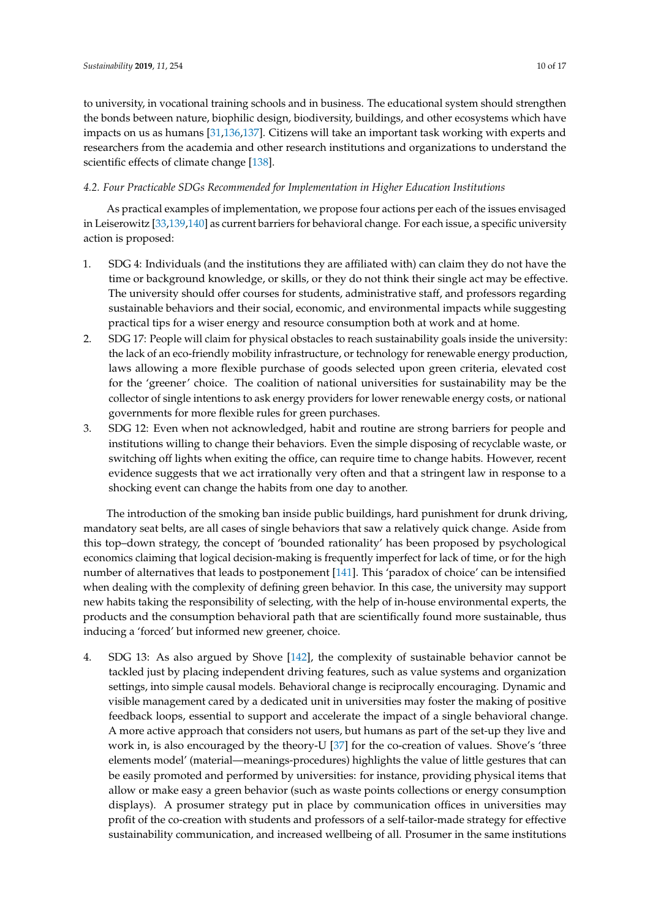to university, in vocational training schools and in business. The educational system should strengthen the bonds between nature, biophilic design, biodiversity, buildings, and other ecosystems which have impacts on us as humans [\[31,](#page-12-15)[136,](#page-16-13)[137\]](#page-16-14). Citizens will take an important task working with experts and researchers from the academia and other research institutions and organizations to understand the scientific effects of climate change [\[138\]](#page-16-15).

# *4.2. Four Practicable SDGs Recommended for Implementation in Higher Education Institutions*

As practical examples of implementation, we propose four actions per each of the issues envisaged in Leiserowitz [\[33](#page-12-17)[,139](#page-16-16)[,140\]](#page-16-17) as current barriers for behavioral change. For each issue, a specific university action is proposed:

- 1. SDG 4: Individuals (and the institutions they are affiliated with) can claim they do not have the time or background knowledge, or skills, or they do not think their single act may be effective. The university should offer courses for students, administrative staff, and professors regarding sustainable behaviors and their social, economic, and environmental impacts while suggesting practical tips for a wiser energy and resource consumption both at work and at home.
- 2. SDG 17: People will claim for physical obstacles to reach sustainability goals inside the university: the lack of an eco-friendly mobility infrastructure, or technology for renewable energy production, laws allowing a more flexible purchase of goods selected upon green criteria, elevated cost for the 'greener' choice. The coalition of national universities for sustainability may be the collector of single intentions to ask energy providers for lower renewable energy costs, or national governments for more flexible rules for green purchases.
- 3. SDG 12: Even when not acknowledged, habit and routine are strong barriers for people and institutions willing to change their behaviors. Even the simple disposing of recyclable waste, or switching off lights when exiting the office, can require time to change habits. However, recent evidence suggests that we act irrationally very often and that a stringent law in response to a shocking event can change the habits from one day to another.

The introduction of the smoking ban inside public buildings, hard punishment for drunk driving, mandatory seat belts, are all cases of single behaviors that saw a relatively quick change. Aside from this top–down strategy, the concept of 'bounded rationality' has been proposed by psychological economics claiming that logical decision-making is frequently imperfect for lack of time, or for the high number of alternatives that leads to postponement [\[141\]](#page-16-18). This 'paradox of choice' can be intensified when dealing with the complexity of defining green behavior. In this case, the university may support new habits taking the responsibility of selecting, with the help of in-house environmental experts, the products and the consumption behavioral path that are scientifically found more sustainable, thus inducing a 'forced' but informed new greener, choice.

4. SDG 13: As also argued by Shove [\[142\]](#page-16-19), the complexity of sustainable behavior cannot be tackled just by placing independent driving features, such as value systems and organization settings, into simple causal models. Behavioral change is reciprocally encouraging. Dynamic and visible management cared by a dedicated unit in universities may foster the making of positive feedback loops, essential to support and accelerate the impact of a single behavioral change. A more active approach that considers not users, but humans as part of the set-up they live and work in, is also encouraged by the theory-U [\[37\]](#page-12-20) for the co-creation of values. Shove's 'three elements model' (material—meanings-procedures) highlights the value of little gestures that can be easily promoted and performed by universities: for instance, providing physical items that allow or make easy a green behavior (such as waste points collections or energy consumption displays). A prosumer strategy put in place by communication offices in universities may profit of the co-creation with students and professors of a self-tailor-made strategy for effective sustainability communication, and increased wellbeing of all. Prosumer in the same institutions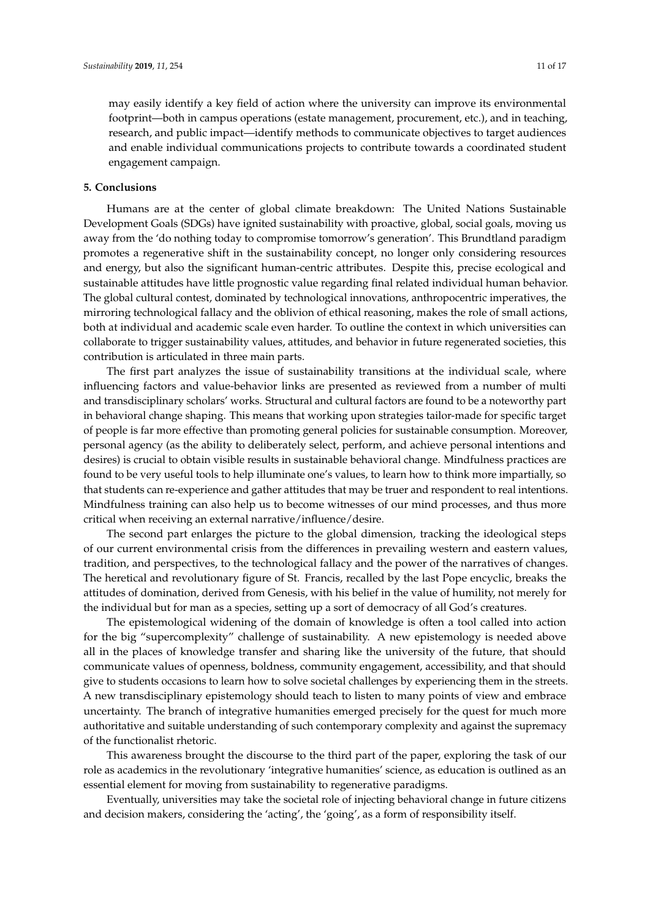may easily identify a key field of action where the university can improve its environmental footprint—both in campus operations (estate management, procurement, etc.), and in teaching, research, and public impact—identify methods to communicate objectives to target audiences and enable individual communications projects to contribute towards a coordinated student engagement campaign.

## **5. Conclusions**

Humans are at the center of global climate breakdown: The United Nations Sustainable Development Goals (SDGs) have ignited sustainability with proactive, global, social goals, moving us away from the 'do nothing today to compromise tomorrow's generation'. This Brundtland paradigm promotes a regenerative shift in the sustainability concept, no longer only considering resources and energy, but also the significant human-centric attributes. Despite this, precise ecological and sustainable attitudes have little prognostic value regarding final related individual human behavior. The global cultural contest, dominated by technological innovations, anthropocentric imperatives, the mirroring technological fallacy and the oblivion of ethical reasoning, makes the role of small actions, both at individual and academic scale even harder. To outline the context in which universities can collaborate to trigger sustainability values, attitudes, and behavior in future regenerated societies, this contribution is articulated in three main parts.

The first part analyzes the issue of sustainability transitions at the individual scale, where influencing factors and value-behavior links are presented as reviewed from a number of multi and transdisciplinary scholars' works. Structural and cultural factors are found to be a noteworthy part in behavioral change shaping. This means that working upon strategies tailor-made for specific target of people is far more effective than promoting general policies for sustainable consumption. Moreover, personal agency (as the ability to deliberately select, perform, and achieve personal intentions and desires) is crucial to obtain visible results in sustainable behavioral change. Mindfulness practices are found to be very useful tools to help illuminate one's values, to learn how to think more impartially, so that students can re-experience and gather attitudes that may be truer and respondent to real intentions. Mindfulness training can also help us to become witnesses of our mind processes, and thus more critical when receiving an external narrative/influence/desire.

The second part enlarges the picture to the global dimension, tracking the ideological steps of our current environmental crisis from the differences in prevailing western and eastern values, tradition, and perspectives, to the technological fallacy and the power of the narratives of changes. The heretical and revolutionary figure of St. Francis, recalled by the last Pope encyclic, breaks the attitudes of domination, derived from Genesis, with his belief in the value of humility, not merely for the individual but for man as a species, setting up a sort of democracy of all God's creatures.

The epistemological widening of the domain of knowledge is often a tool called into action for the big "supercomplexity" challenge of sustainability. A new epistemology is needed above all in the places of knowledge transfer and sharing like the university of the future, that should communicate values of openness, boldness, community engagement, accessibility, and that should give to students occasions to learn how to solve societal challenges by experiencing them in the streets. A new transdisciplinary epistemology should teach to listen to many points of view and embrace uncertainty. The branch of integrative humanities emerged precisely for the quest for much more authoritative and suitable understanding of such contemporary complexity and against the supremacy of the functionalist rhetoric.

This awareness brought the discourse to the third part of the paper, exploring the task of our role as academics in the revolutionary 'integrative humanities' science, as education is outlined as an essential element for moving from sustainability to regenerative paradigms.

Eventually, universities may take the societal role of injecting behavioral change in future citizens and decision makers, considering the 'acting', the 'going', as a form of responsibility itself.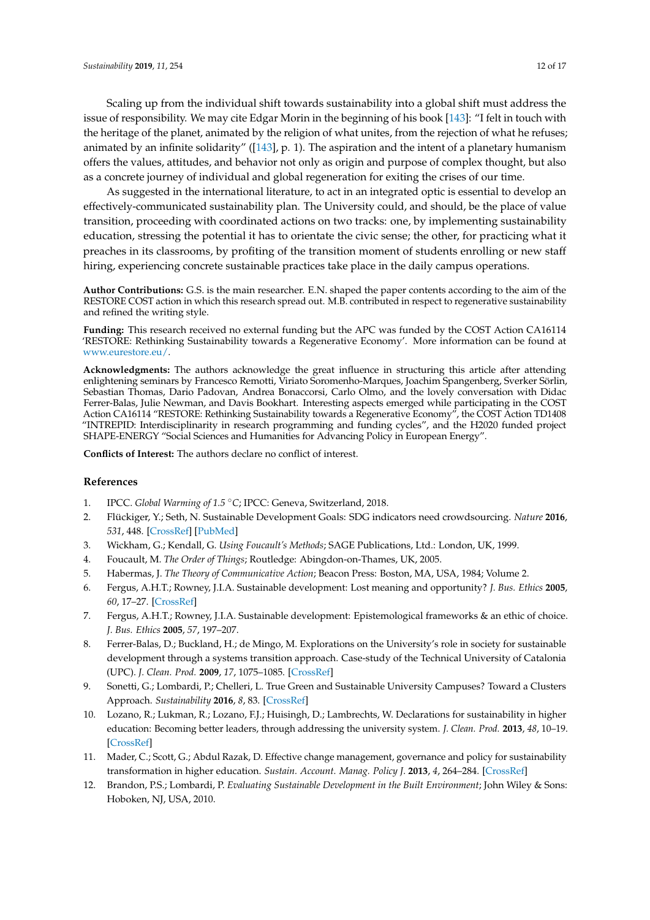Scaling up from the individual shift towards sustainability into a global shift must address the issue of responsibility. We may cite Edgar Morin in the beginning of his book [\[143\]](#page-16-20): "I felt in touch with the heritage of the planet, animated by the religion of what unites, from the rejection of what he refuses; animated by an infinite solidarity" ([\[143\]](#page-16-20), p. 1). The aspiration and the intent of a planetary humanism offers the values, attitudes, and behavior not only as origin and purpose of complex thought, but also as a concrete journey of individual and global regeneration for exiting the crises of our time.

As suggested in the international literature, to act in an integrated optic is essential to develop an effectively-communicated sustainability plan. The University could, and should, be the place of value transition, proceeding with coordinated actions on two tracks: one, by implementing sustainability education, stressing the potential it has to orientate the civic sense; the other, for practicing what it preaches in its classrooms, by profiting of the transition moment of students enrolling or new staff hiring, experiencing concrete sustainable practices take place in the daily campus operations.

**Author Contributions:** G.S. is the main researcher. E.N. shaped the paper contents according to the aim of the RESTORE COST action in which this research spread out. M.B. contributed in respect to regenerative sustainability and refined the writing style.

**Funding:** This research received no external funding but the APC was funded by the COST Action CA16114 'RESTORE: Rethinking Sustainability towards a Regenerative Economy'. More information can be found at [www.eurestore.eu/.](www.eurestore.eu/)

**Acknowledgments:** The authors acknowledge the great influence in structuring this article after attending enlightening seminars by Francesco Remotti, Viriato Soromenho-Marques, Joachim Spangenberg, Sverker Sörlin, Sebastian Thomas, Dario Padovan, Andrea Bonaccorsi, Carlo Olmo, and the lovely conversation with Didac Ferrer-Balas, Julie Newman, and Davis Bookhart. Interesting aspects emerged while participating in the COST Action CA16114 "RESTORE: Rethinking Sustainability towards a Regenerative Economy", the COST Action TD1408 "INTREPID: Interdisciplinarity in research programming and funding cycles", and the H2020 funded project SHAPE-ENERGY "Social Sciences and Humanities for Advancing Policy in European Energy".

**Conflicts of Interest:** The authors declare no conflict of interest.

#### **References**

- <span id="page-11-0"></span>1. IPCC. *Global Warming of 1.5* ◦*C*; IPCC: Geneva, Switzerland, 2018.
- <span id="page-11-1"></span>2. Flückiger, Y.; Seth, N. Sustainable Development Goals: SDG indicators need crowdsourcing. *Nature* **2016**, *531*, 448. [\[CrossRef\]](http://dx.doi.org/10.1038/531448c) [\[PubMed\]](http://www.ncbi.nlm.nih.gov/pubmed/27008957)
- <span id="page-11-2"></span>3. Wickham, G.; Kendall, G. *Using Foucault's Methods*; SAGE Publications, Ltd.: London, UK, 1999.
- <span id="page-11-3"></span>4. Foucault, M. *The Order of Things*; Routledge: Abingdon-on-Thames, UK, 2005.
- <span id="page-11-4"></span>5. Habermas, J. *The Theory of Communicative Action*; Beacon Press: Boston, MA, USA, 1984; Volume 2.
- <span id="page-11-5"></span>6. Fergus, A.H.T.; Rowney, J.I.A. Sustainable development: Lost meaning and opportunity? *J. Bus. Ethics* **2005**, *60*, 17–27. [\[CrossRef\]](http://dx.doi.org/10.1007/s10551-005-2927-9)
- <span id="page-11-6"></span>7. Fergus, A.H.T.; Rowney, J.I.A. Sustainable development: Epistemological frameworks & an ethic of choice. *J. Bus. Ethics* **2005**, *57*, 197–207.
- <span id="page-11-7"></span>8. Ferrer-Balas, D.; Buckland, H.; de Mingo, M. Explorations on the University's role in society for sustainable development through a systems transition approach. Case-study of the Technical University of Catalonia (UPC). *J. Clean. Prod.* **2009**, *17*, 1075–1085. [\[CrossRef\]](http://dx.doi.org/10.1016/j.jclepro.2008.11.006)
- <span id="page-11-8"></span>9. Sonetti, G.; Lombardi, P.; Chelleri, L. True Green and Sustainable University Campuses? Toward a Clusters Approach. *Sustainability* **2016**, *8*, 83. [\[CrossRef\]](http://dx.doi.org/10.3390/su8010083)
- <span id="page-11-9"></span>10. Lozano, R.; Lukman, R.; Lozano, F.J.; Huisingh, D.; Lambrechts, W. Declarations for sustainability in higher education: Becoming better leaders, through addressing the university system. *J. Clean. Prod.* **2013**, *48*, 10–19. [\[CrossRef\]](http://dx.doi.org/10.1016/j.jclepro.2011.10.006)
- <span id="page-11-10"></span>11. Mader, C.; Scott, G.; Abdul Razak, D. Effective change management, governance and policy for sustainability transformation in higher education. *Sustain. Account. Manag. Policy J.* **2013**, *4*, 264–284. [\[CrossRef\]](http://dx.doi.org/10.1108/SAMPJ-09-2013-0037)
- <span id="page-11-11"></span>12. Brandon, P.S.; Lombardi, P. *Evaluating Sustainable Development in the Built Environment*; John Wiley & Sons: Hoboken, NJ, USA, 2010.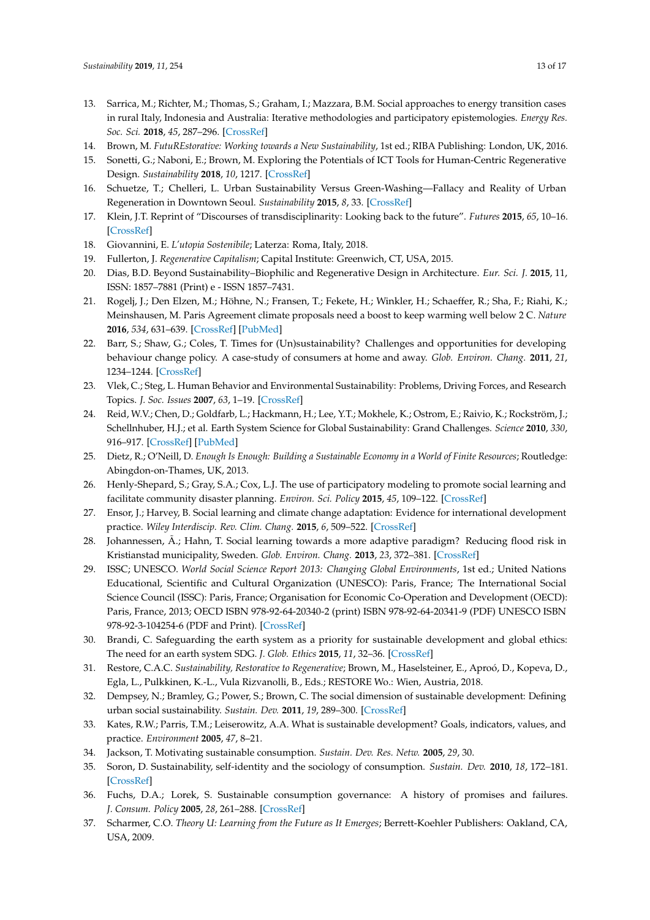- <span id="page-12-0"></span>13. Sarrica, M.; Richter, M.; Thomas, S.; Graham, I.; Mazzara, B.M. Social approaches to energy transition cases in rural Italy, Indonesia and Australia: Iterative methodologies and participatory epistemologies. *Energy Res. Soc. Sci.* **2018**, *45*, 287–296. [\[CrossRef\]](http://dx.doi.org/10.1016/j.erss.2018.07.001)
- <span id="page-12-1"></span>14. Brown, M. *FutuREstorative: Working towards a New Sustainability*, 1st ed.; RIBA Publishing: London, UK, 2016.
- <span id="page-12-2"></span>15. Sonetti, G.; Naboni, E.; Brown, M. Exploring the Potentials of ICT Tools for Human-Centric Regenerative Design. *Sustainability* **2018**, *10*, 1217. [\[CrossRef\]](http://dx.doi.org/10.3390/su10041217)
- 16. Schuetze, T.; Chelleri, L. Urban Sustainability Versus Green-Washing—Fallacy and Reality of Urban Regeneration in Downtown Seoul. *Sustainability* **2015**, *8*, 33. [\[CrossRef\]](http://dx.doi.org/10.3390/su8010033)
- <span id="page-12-3"></span>17. Klein, J.T. Reprint of "Discourses of transdisciplinarity: Looking back to the future". *Futures* **2015**, *65*, 10–16. [\[CrossRef\]](http://dx.doi.org/10.1016/j.futures.2015.01.003)
- <span id="page-12-4"></span>18. Giovannini, E. *L'utopia Sostenibile*; Laterza: Roma, Italy, 2018.
- <span id="page-12-5"></span>19. Fullerton, J. *Regenerative Capitalism*; Capital Institute: Greenwich, CT, USA, 2015.
- <span id="page-12-6"></span>20. Dias, B.D. Beyond Sustainability–Biophilic and Regenerative Design in Architecture. *Eur. Sci. J.* **2015**, 11, ISSN: 1857–7881 (Print) e - ISSN 1857–7431.
- <span id="page-12-7"></span>21. Rogelj, J.; Den Elzen, M.; Höhne, N.; Fransen, T.; Fekete, H.; Winkler, H.; Schaeffer, R.; Sha, F.; Riahi, K.; Meinshausen, M. Paris Agreement climate proposals need a boost to keep warming well below 2 C. *Nature* **2016**, *534*, 631–639. [\[CrossRef\]](http://dx.doi.org/10.1038/nature18307) [\[PubMed\]](http://www.ncbi.nlm.nih.gov/pubmed/27357792)
- <span id="page-12-8"></span>22. Barr, S.; Shaw, G.; Coles, T. Times for (Un)sustainability? Challenges and opportunities for developing behaviour change policy. A case-study of consumers at home and away. *Glob. Environ. Chang.* **2011**, *21*, 1234–1244. [\[CrossRef\]](http://dx.doi.org/10.1016/j.gloenvcha.2011.07.011)
- <span id="page-12-9"></span>23. Vlek, C.; Steg, L. Human Behavior and Environmental Sustainability: Problems, Driving Forces, and Research Topics. *J. Soc. Issues* **2007**, *63*, 1–19. [\[CrossRef\]](http://dx.doi.org/10.1111/j.1540-4560.2007.00493.x)
- 24. Reid, W.V.; Chen, D.; Goldfarb, L.; Hackmann, H.; Lee, Y.T.; Mokhele, K.; Ostrom, E.; Raivio, K.; Rockström, J.; Schellnhuber, H.J.; et al. Earth System Science for Global Sustainability: Grand Challenges. *Science* **2010**, *330*, 916–917. [\[CrossRef\]](http://dx.doi.org/10.1126/science.1196263) [\[PubMed\]](http://www.ncbi.nlm.nih.gov/pubmed/21071651)
- <span id="page-12-10"></span>25. Dietz, R.; O'Neill, D. *Enough Is Enough: Building a Sustainable Economy in a World of Finite Resources*; Routledge: Abingdon-on-Thames, UK, 2013.
- <span id="page-12-11"></span>26. Henly-Shepard, S.; Gray, S.A.; Cox, L.J. The use of participatory modeling to promote social learning and facilitate community disaster planning. *Environ. Sci. Policy* **2015**, *45*, 109–122. [\[CrossRef\]](http://dx.doi.org/10.1016/j.envsci.2014.10.004)
- 27. Ensor, J.; Harvey, B. Social learning and climate change adaptation: Evidence for international development practice. *Wiley Interdiscip. Rev. Clim. Chang.* **2015**, *6*, 509–522. [\[CrossRef\]](http://dx.doi.org/10.1002/wcc.348)
- <span id="page-12-12"></span>28. Johannessen, Ã.; Hahn, T. Social learning towards a more adaptive paradigm? Reducing flood risk in Kristianstad municipality, Sweden. *Glob. Environ. Chang.* **2013**, *23*, 372–381. [\[CrossRef\]](http://dx.doi.org/10.1016/j.gloenvcha.2012.07.009)
- <span id="page-12-13"></span>29. ISSC; UNESCO. *World Social Science Report 2013: Changing Global Environments*, 1st ed.; United Nations Educational, Scientific and Cultural Organization (UNESCO): Paris, France; The International Social Science Council (ISSC): Paris, France; Organisation for Economic Co-Operation and Development (OECD): Paris, France, 2013; OECD ISBN 978-92-64-20340-2 (print) ISBN 978-92-64-20341-9 (PDF) UNESCO ISBN 978-92-3-104254-6 (PDF and Print). [\[CrossRef\]](http://dx.doi.org/10.1787/9789264203419-en)
- <span id="page-12-14"></span>30. Brandi, C. Safeguarding the earth system as a priority for sustainable development and global ethics: The need for an earth system SDG. *J. Glob. Ethics* **2015**, *11*, 32–36. [\[CrossRef\]](http://dx.doi.org/10.1080/17449626.2015.1006791)
- <span id="page-12-15"></span>31. Restore, C.A.C. *Sustainability, Restorative to Regenerative*; Brown, M., Haselsteiner, E., Aproó, D., Kopeva, D., Egla, L., Pulkkinen, K.-L., Vula Rizvanolli, B., Eds.; RESTORE Wo.: Wien, Austria, 2018.
- <span id="page-12-16"></span>32. Dempsey, N.; Bramley, G.; Power, S.; Brown, C. The social dimension of sustainable development: Defining urban social sustainability. *Sustain. Dev.* **2011**, *19*, 289–300. [\[CrossRef\]](http://dx.doi.org/10.1002/sd.417)
- <span id="page-12-17"></span>33. Kates, R.W.; Parris, T.M.; Leiserowitz, A.A. What is sustainable development? Goals, indicators, values, and practice. *Environment* **2005**, *47*, 8–21.
- <span id="page-12-18"></span>34. Jackson, T. Motivating sustainable consumption. *Sustain. Dev. Res. Netw.* **2005**, *29*, 30.
- 35. Soron, D. Sustainability, self-identity and the sociology of consumption. *Sustain. Dev.* **2010**, *18*, 172–181. [\[CrossRef\]](http://dx.doi.org/10.1002/sd.457)
- <span id="page-12-19"></span>36. Fuchs, D.A.; Lorek, S. Sustainable consumption governance: A history of promises and failures. *J. Consum. Policy* **2005**, *28*, 261–288. [\[CrossRef\]](http://dx.doi.org/10.1007/s10603-005-8490-z)
- <span id="page-12-20"></span>37. Scharmer, C.O. *Theory U: Learning from the Future as It Emerges*; Berrett-Koehler Publishers: Oakland, CA, USA, 2009.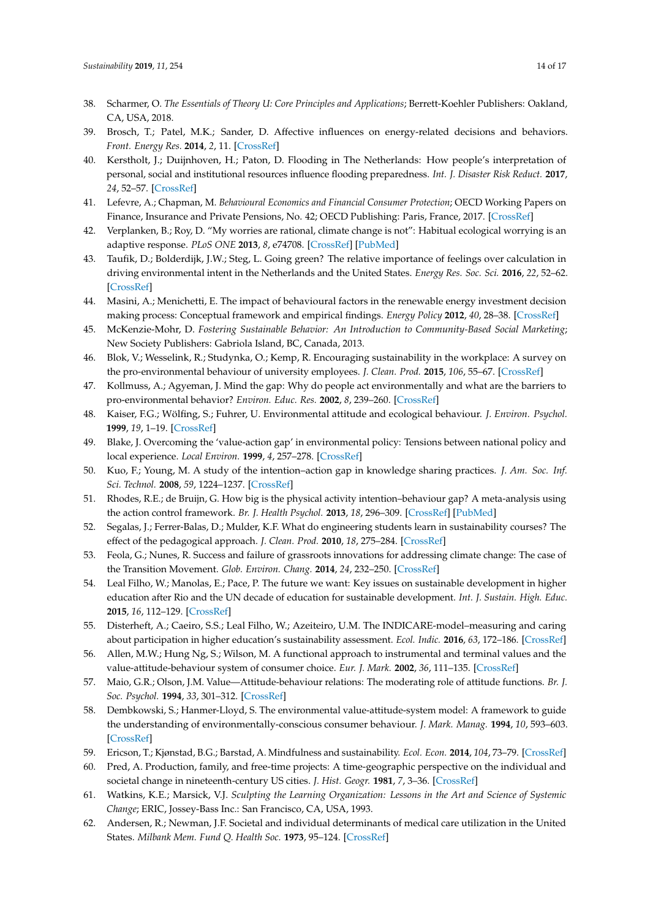- <span id="page-13-0"></span>38. Scharmer, O. *The Essentials of Theory U: Core Principles and Applications*; Berrett-Koehler Publishers: Oakland, CA, USA, 2018.
- <span id="page-13-1"></span>39. Brosch, T.; Patel, M.K.; Sander, D. Affective influences on energy-related decisions and behaviors. *Front. Energy Res.* **2014**, *2*, 11. [\[CrossRef\]](http://dx.doi.org/10.3389/fenrg.2014.00011)
- <span id="page-13-2"></span>40. Kerstholt, J.; Duijnhoven, H.; Paton, D. Flooding in The Netherlands: How people's interpretation of personal, social and institutional resources influence flooding preparedness. *Int. J. Disaster Risk Reduct.* **2017**, *24*, 52–57. [\[CrossRef\]](http://dx.doi.org/10.1016/j.ijdrr.2017.05.013)
- <span id="page-13-3"></span>41. Lefevre, A.; Chapman, M. *Behavioural Economics and Financial Consumer Protection*; OECD Working Papers on Finance, Insurance and Private Pensions, No. 42; OECD Publishing: Paris, France, 2017. [\[CrossRef\]](http://dx.doi.org/10.1787/0c8685b2-en)
- <span id="page-13-4"></span>42. Verplanken, B.; Roy, D. "My worries are rational, climate change is not": Habitual ecological worrying is an adaptive response. *PLoS ONE* **2013**, *8*, e74708. [\[CrossRef\]](http://dx.doi.org/10.1371/journal.pone.0074708) [\[PubMed\]](http://www.ncbi.nlm.nih.gov/pubmed/24023958)
- <span id="page-13-5"></span>43. Taufik, D.; Bolderdijk, J.W.; Steg, L. Going green? The relative importance of feelings over calculation in driving environmental intent in the Netherlands and the United States. *Energy Res. Soc. Sci.* **2016**, *22*, 52–62. [\[CrossRef\]](http://dx.doi.org/10.1016/j.erss.2016.08.012)
- <span id="page-13-6"></span>44. Masini, A.; Menichetti, E. The impact of behavioural factors in the renewable energy investment decision making process: Conceptual framework and empirical findings. *Energy Policy* **2012**, *40*, 28–38. [\[CrossRef\]](http://dx.doi.org/10.1016/j.enpol.2010.06.062)
- 45. McKenzie-Mohr, D. *Fostering Sustainable Behavior: An Introduction to Community-Based Social Marketing*; New Society Publishers: Gabriola Island, BC, Canada, 2013.
- <span id="page-13-7"></span>46. Blok, V.; Wesselink, R.; Studynka, O.; Kemp, R. Encouraging sustainability in the workplace: A survey on the pro-environmental behaviour of university employees. *J. Clean. Prod.* **2015**, *106*, 55–67. [\[CrossRef\]](http://dx.doi.org/10.1016/j.jclepro.2014.07.063)
- <span id="page-13-8"></span>47. Kollmuss, A.; Agyeman, J. Mind the gap: Why do people act environmentally and what are the barriers to pro-environmental behavior? *Environ. Educ. Res.* **2002**, *8*, 239–260. [\[CrossRef\]](http://dx.doi.org/10.1080/13504620220145401)
- <span id="page-13-9"></span>48. Kaiser, F.G.; Wölfing, S.; Fuhrer, U. Environmental attitude and ecological behaviour. *J. Environ. Psychol.* **1999**, *19*, 1–19. [\[CrossRef\]](http://dx.doi.org/10.1006/jevp.1998.0107)
- <span id="page-13-10"></span>49. Blake, J. Overcoming the 'value-action gap' in environmental policy: Tensions between national policy and local experience. *Local Environ.* **1999**, *4*, 257–278. [\[CrossRef\]](http://dx.doi.org/10.1080/13549839908725599)
- 50. Kuo, F.; Young, M. A study of the intention–action gap in knowledge sharing practices. *J. Am. Soc. Inf. Sci. Technol.* **2008**, *59*, 1224–1237. [\[CrossRef\]](http://dx.doi.org/10.1002/asi.20816)
- <span id="page-13-11"></span>51. Rhodes, R.E.; de Bruijn, G. How big is the physical activity intention–behaviour gap? A meta-analysis using the action control framework. *Br. J. Health Psychol.* **2013**, *18*, 296–309. [\[CrossRef\]](http://dx.doi.org/10.1111/bjhp.12032) [\[PubMed\]](http://www.ncbi.nlm.nih.gov/pubmed/23480428)
- <span id="page-13-12"></span>52. Segalas, J.; Ferrer-Balas, D.; Mulder, K.F. What do engineering students learn in sustainability courses? The effect of the pedagogical approach. *J. Clean. Prod.* **2010**, *18*, 275–284. [\[CrossRef\]](http://dx.doi.org/10.1016/j.jclepro.2009.09.012)
- <span id="page-13-13"></span>53. Feola, G.; Nunes, R. Success and failure of grassroots innovations for addressing climate change: The case of the Transition Movement. *Glob. Environ. Chang.* **2014**, *24*, 232–250. [\[CrossRef\]](http://dx.doi.org/10.1016/j.gloenvcha.2013.11.011)
- <span id="page-13-14"></span>54. Leal Filho, W.; Manolas, E.; Pace, P. The future we want: Key issues on sustainable development in higher education after Rio and the UN decade of education for sustainable development. *Int. J. Sustain. High. Educ.* **2015**, *16*, 112–129. [\[CrossRef\]](http://dx.doi.org/10.1108/IJSHE-03-2014-0036)
- <span id="page-13-15"></span>55. Disterheft, A.; Caeiro, S.S.; Leal Filho, W.; Azeiteiro, U.M. The INDICARE-model–measuring and caring about participation in higher education's sustainability assessment. *Ecol. Indic.* **2016**, *63*, 172–186. [\[CrossRef\]](http://dx.doi.org/10.1016/j.ecolind.2015.11.057)
- <span id="page-13-16"></span>56. Allen, M.W.; Hung Ng, S.; Wilson, M. A functional approach to instrumental and terminal values and the value-attitude-behaviour system of consumer choice. *Eur. J. Mark.* **2002**, *36*, 111–135. [\[CrossRef\]](http://dx.doi.org/10.1108/03090560210412728)
- 57. Maio, G.R.; Olson, J.M. Value—Attitude-behaviour relations: The moderating role of attitude functions. *Br. J. Soc. Psychol.* **1994**, *33*, 301–312. [\[CrossRef\]](http://dx.doi.org/10.1111/j.2044-8309.1994.tb01027.x)
- 58. Dembkowski, S.; Hanmer-Lloyd, S. The environmental value-attitude-system model: A framework to guide the understanding of environmentally-conscious consumer behaviour. *J. Mark. Manag.* **1994**, *10*, 593–603. [\[CrossRef\]](http://dx.doi.org/10.1080/0267257X.1994.9964307)
- <span id="page-13-17"></span>59. Ericson, T.; Kjønstad, B.G.; Barstad, A. Mindfulness and sustainability. *Ecol. Econ.* **2014**, *104*, 73–79. [\[CrossRef\]](http://dx.doi.org/10.1016/j.ecolecon.2014.04.007)
- <span id="page-13-18"></span>60. Pred, A. Production, family, and free-time projects: A time-geographic perspective on the individual and societal change in nineteenth-century US cities. *J. Hist. Geogr.* **1981**, *7*, 3–36. [\[CrossRef\]](http://dx.doi.org/10.1016/0305-7488(81)90082-7)
- 61. Watkins, K.E.; Marsick, V.J. *Sculpting the Learning Organization: Lessons in the Art and Science of Systemic Change*; ERIC, Jossey-Bass Inc.: San Francisco, CA, USA, 1993.
- <span id="page-13-19"></span>62. Andersen, R.; Newman, J.F. Societal and individual determinants of medical care utilization in the United States. *Milbank Mem. Fund Q. Health Soc.* **1973**, 95–124. [\[CrossRef\]](http://dx.doi.org/10.2307/3349613)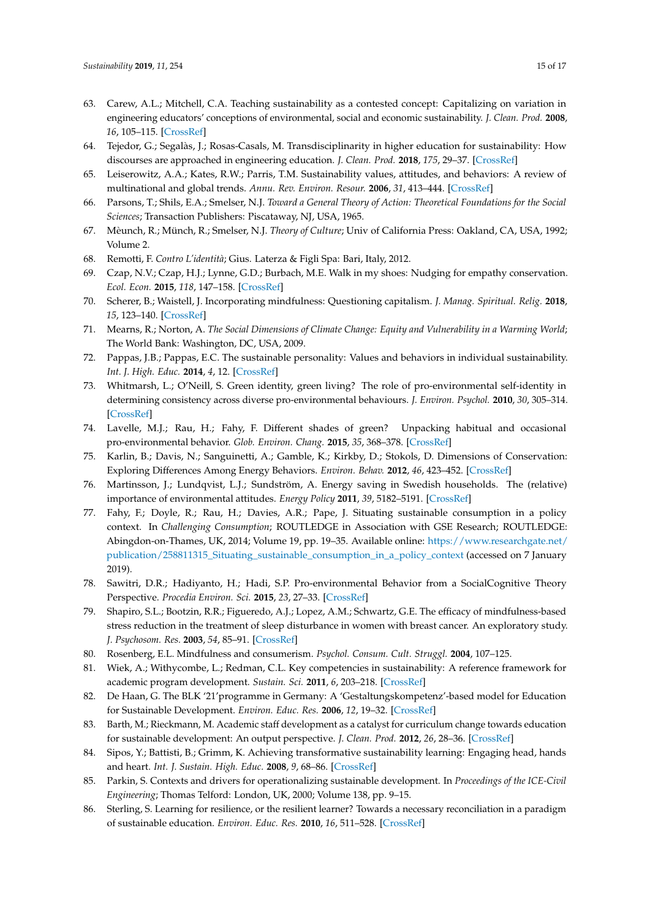- <span id="page-14-0"></span>63. Carew, A.L.; Mitchell, C.A. Teaching sustainability as a contested concept: Capitalizing on variation in engineering educators' conceptions of environmental, social and economic sustainability. *J. Clean. Prod.* **2008**, *16*, 105–115. [\[CrossRef\]](http://dx.doi.org/10.1016/j.jclepro.2006.11.004)
- 64. Tejedor, G.; Segalàs, J.; Rosas-Casals, M. Transdisciplinarity in higher education for sustainability: How discourses are approached in engineering education. *J. Clean. Prod.* **2018**, *175*, 29–37. [\[CrossRef\]](http://dx.doi.org/10.1016/j.jclepro.2017.11.085)
- <span id="page-14-1"></span>65. Leiserowitz, A.A.; Kates, R.W.; Parris, T.M. Sustainability values, attitudes, and behaviors: A review of multinational and global trends. *Annu. Rev. Environ. Resour.* **2006**, *31*, 413–444. [\[CrossRef\]](http://dx.doi.org/10.1146/annurev.energy.31.102505.133552)
- <span id="page-14-2"></span>66. Parsons, T.; Shils, E.A.; Smelser, N.J. *Toward a General Theory of Action: Theoretical Foundations for the Social Sciences*; Transaction Publishers: Piscataway, NJ, USA, 1965.
- <span id="page-14-3"></span>67. Mèunch, R.; Münch, R.; Smelser, N.J. *Theory of Culture*; Univ of California Press: Oakland, CA, USA, 1992; Volume 2.
- <span id="page-14-4"></span>68. Remotti, F. *Contro L'identità*; Gius. Laterza & Figli Spa: Bari, Italy, 2012.
- <span id="page-14-5"></span>69. Czap, N.V.; Czap, H.J.; Lynne, G.D.; Burbach, M.E. Walk in my shoes: Nudging for empathy conservation. *Ecol. Econ.* **2015**, *118*, 147–158. [\[CrossRef\]](http://dx.doi.org/10.1016/j.ecolecon.2015.07.010)
- <span id="page-14-6"></span>70. Scherer, B.; Waistell, J. Incorporating mindfulness: Questioning capitalism. *J. Manag. Spiritual. Relig.* **2018**, *15*, 123–140. [\[CrossRef\]](http://dx.doi.org/10.1080/14766086.2017.1375424)
- <span id="page-14-7"></span>71. Mearns, R.; Norton, A. *The Social Dimensions of Climate Change: Equity and Vulnerability in a Warming World*; The World Bank: Washington, DC, USA, 2009.
- <span id="page-14-8"></span>72. Pappas, J.B.; Pappas, E.C. The sustainable personality: Values and behaviors in individual sustainability. *Int. J. High. Educ.* **2014**, *4*, 12. [\[CrossRef\]](http://dx.doi.org/10.5430/ijhe.v4n1p12)
- <span id="page-14-9"></span>73. Whitmarsh, L.; O'Neill, S. Green identity, green living? The role of pro-environmental self-identity in determining consistency across diverse pro-environmental behaviours. *J. Environ. Psychol.* **2010**, *30*, 305–314. [\[CrossRef\]](http://dx.doi.org/10.1016/j.jenvp.2010.01.003)
- <span id="page-14-10"></span>74. Lavelle, M.J.; Rau, H.; Fahy, F. Different shades of green? Unpacking habitual and occasional pro-environmental behavior. *Glob. Environ. Chang.* **2015**, *35*, 368–378. [\[CrossRef\]](http://dx.doi.org/10.1016/j.gloenvcha.2015.09.021)
- <span id="page-14-11"></span>75. Karlin, B.; Davis, N.; Sanguinetti, A.; Gamble, K.; Kirkby, D.; Stokols, D. Dimensions of Conservation: Exploring Differences Among Energy Behaviors. *Environ. Behav.* **2012**, *46*, 423–452. [\[CrossRef\]](http://dx.doi.org/10.1177/0013916512467532)
- <span id="page-14-12"></span>76. Martinsson, J.; Lundqvist, L.J.; Sundström, A. Energy saving in Swedish households. The (relative) importance of environmental attitudes. *Energy Policy* **2011**, *39*, 5182–5191. [\[CrossRef\]](http://dx.doi.org/10.1016/j.enpol.2011.05.046)
- <span id="page-14-13"></span>77. Fahy, F.; Doyle, R.; Rau, H.; Davies, A.R.; Pape, J. Situating sustainable consumption in a policy context. In *Challenging Consumption*; ROUTLEDGE in Association with GSE Research; ROUTLEDGE: Abingdon-on-Thames, UK, 2014; Volume 19, pp. 19–35. Available online: [https://www.researchgate.net/](https://www.researchgate.net/publication/258811315_Situating_sustainable_consumption_in_a_policy_context) [publication/258811315\\_Situating\\_sustainable\\_consumption\\_in\\_a\\_policy\\_context](https://www.researchgate.net/publication/258811315_Situating_sustainable_consumption_in_a_policy_context) (accessed on 7 January 2019).
- <span id="page-14-14"></span>78. Sawitri, D.R.; Hadiyanto, H.; Hadi, S.P. Pro-environmental Behavior from a SocialCognitive Theory Perspective. *Procedia Environ. Sci.* **2015**, *23*, 27–33. [\[CrossRef\]](http://dx.doi.org/10.1016/j.proenv.2015.01.005)
- <span id="page-14-15"></span>79. Shapiro, S.L.; Bootzin, R.R.; Figueredo, A.J.; Lopez, A.M.; Schwartz, G.E. The efficacy of mindfulness-based stress reduction in the treatment of sleep disturbance in women with breast cancer. An exploratory study. *J. Psychosom. Res.* **2003**, *54*, 85–91. [\[CrossRef\]](http://dx.doi.org/10.1016/S0022-3999(02)00546-9)
- <span id="page-14-16"></span>80. Rosenberg, E.L. Mindfulness and consumerism. *Psychol. Consum. Cult. Struggl.* **2004**, 107–125.
- <span id="page-14-17"></span>81. Wiek, A.; Withycombe, L.; Redman, C.L. Key competencies in sustainability: A reference framework for academic program development. *Sustain. Sci.* **2011**, *6*, 203–218. [\[CrossRef\]](http://dx.doi.org/10.1007/s11625-011-0132-6)
- <span id="page-14-18"></span>82. De Haan, G. The BLK '21'programme in Germany: A 'Gestaltungskompetenz'-based model for Education for Sustainable Development. *Environ. Educ. Res.* **2006**, *12*, 19–32. [\[CrossRef\]](http://dx.doi.org/10.1080/13504620500526362)
- <span id="page-14-19"></span>83. Barth, M.; Rieckmann, M. Academic staff development as a catalyst for curriculum change towards education for sustainable development: An output perspective. *J. Clean. Prod.* **2012**, *26*, 28–36. [\[CrossRef\]](http://dx.doi.org/10.1016/j.jclepro.2011.12.011)
- <span id="page-14-20"></span>84. Sipos, Y.; Battisti, B.; Grimm, K. Achieving transformative sustainability learning: Engaging head, hands and heart. *Int. J. Sustain. High. Educ.* **2008**, *9*, 68–86. [\[CrossRef\]](http://dx.doi.org/10.1108/14676370810842193)
- <span id="page-14-21"></span>85. Parkin, S. Contexts and drivers for operationalizing sustainable development. In *Proceedings of the ICE-Civil Engineering*; Thomas Telford: London, UK, 2000; Volume 138, pp. 9–15.
- 86. Sterling, S. Learning for resilience, or the resilient learner? Towards a necessary reconciliation in a paradigm of sustainable education. *Environ. Educ. Res.* **2010**, *16*, 511–528. [\[CrossRef\]](http://dx.doi.org/10.1080/13504622.2010.505427)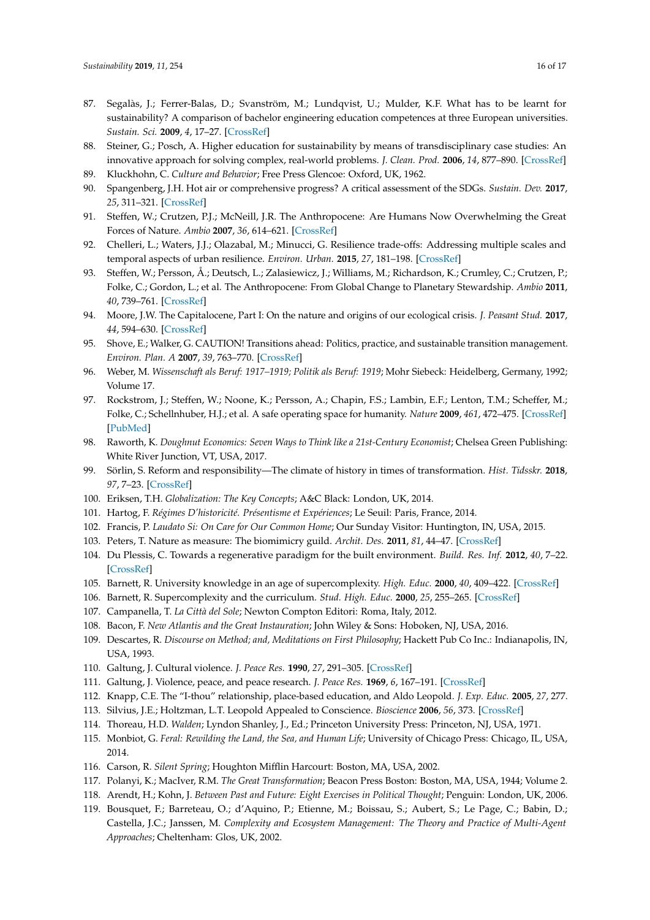- <span id="page-15-0"></span>87. Segalàs, J.; Ferrer-Balas, D.; Svanström, M.; Lundqvist, U.; Mulder, K.F. What has to be learnt for sustainability? A comparison of bachelor engineering education competences at three European universities. *Sustain. Sci.* **2009**, *4*, 17–27. [\[CrossRef\]](http://dx.doi.org/10.1007/s11625-009-0068-2)
- <span id="page-15-1"></span>88. Steiner, G.; Posch, A. Higher education for sustainability by means of transdisciplinary case studies: An innovative approach for solving complex, real-world problems. *J. Clean. Prod.* **2006**, *14*, 877–890. [\[CrossRef\]](http://dx.doi.org/10.1016/j.jclepro.2005.11.054)
- <span id="page-15-2"></span>89. Kluckhohn, C. *Culture and Behavior*; Free Press Glencoe: Oxford, UK, 1962.
- <span id="page-15-3"></span>90. Spangenberg, J.H. Hot air or comprehensive progress? A critical assessment of the SDGs. *Sustain. Dev.* **2017**, *25*, 311–321. [\[CrossRef\]](http://dx.doi.org/10.1002/sd.1657)
- <span id="page-15-4"></span>91. Steffen, W.; Crutzen, P.J.; McNeill, J.R. The Anthropocene: Are Humans Now Overwhelming the Great Forces of Nature. *Ambio* **2007**, *36*, 614–621. [\[CrossRef\]](http://dx.doi.org/10.1579/0044-7447(2007)36[614:TAAHNO]2.0.CO;2)
- 92. Chelleri, L.; Waters, J.J.; Olazabal, M.; Minucci, G. Resilience trade-offs: Addressing multiple scales and temporal aspects of urban resilience. *Environ. Urban.* **2015**, *27*, 181–198. [\[CrossRef\]](http://dx.doi.org/10.1177/0956247814550780)
- <span id="page-15-5"></span>93. Steffen, W.; Persson, Å.; Deutsch, L.; Zalasiewicz, J.; Williams, M.; Richardson, K.; Crumley, C.; Crutzen, P.; Folke, C.; Gordon, L.; et al. The Anthropocene: From Global Change to Planetary Stewardship. *Ambio* **2011**, *40*, 739–761. [\[CrossRef\]](http://dx.doi.org/10.1007/s13280-011-0185-x)
- <span id="page-15-6"></span>94. Moore, J.W. The Capitalocene, Part I: On the nature and origins of our ecological crisis. *J. Peasant Stud.* **2017**, *44*, 594–630. [\[CrossRef\]](http://dx.doi.org/10.1080/03066150.2016.1235036)
- <span id="page-15-7"></span>95. Shove, E.; Walker, G. CAUTION! Transitions ahead: Politics, practice, and sustainable transition management. *Environ. Plan. A* **2007**, *39*, 763–770. [\[CrossRef\]](http://dx.doi.org/10.1068/a39310)
- <span id="page-15-8"></span>96. Weber, M. *Wissenschaft als Beruf: 1917–1919; Politik als Beruf: 1919*; Mohr Siebeck: Heidelberg, Germany, 1992; Volume 17.
- <span id="page-15-9"></span>97. Rockstrom, J.; Steffen, W.; Noone, K.; Persson, A.; Chapin, F.S.; Lambin, E.F.; Lenton, T.M.; Scheffer, M.; Folke, C.; Schellnhuber, H.J.; et al. A safe operating space for humanity. *Nature* **2009**, *461*, 472–475. [\[CrossRef\]](http://dx.doi.org/10.1038/461472a) [\[PubMed\]](http://www.ncbi.nlm.nih.gov/pubmed/19779433)
- 98. Raworth, K. *Doughnut Economics: Seven Ways to Think like a 21st-Century Economist*; Chelsea Green Publishing: White River Junction, VT, USA, 2017.
- <span id="page-15-10"></span>99. Sörlin, S. Reform and responsibility—The climate of history in times of transformation. *Hist. Tidsskr.* **2018**, *97*, 7–23. [\[CrossRef\]](http://dx.doi.org/10.18261/issn.1504-2944-2018-01-02)
- <span id="page-15-11"></span>100. Eriksen, T.H. *Globalization: The Key Concepts*; A&C Black: London, UK, 2014.
- <span id="page-15-12"></span>101. Hartog, F. *Régimes D'historicité. Présentisme et Expériences*; Le Seuil: Paris, France, 2014.
- <span id="page-15-13"></span>102. Francis, P. *Laudato Si: On Care for Our Common Home*; Our Sunday Visitor: Huntington, IN, USA, 2015.
- <span id="page-15-14"></span>103. Peters, T. Nature as measure: The biomimicry guild. *Archit. Des.* **2011**, *81*, 44–47. [\[CrossRef\]](http://dx.doi.org/10.1002/ad.1318)
- <span id="page-15-15"></span>104. Du Plessis, C. Towards a regenerative paradigm for the built environment. *Build. Res. Inf.* **2012**, *40*, 7–22. [\[CrossRef\]](http://dx.doi.org/10.1080/09613218.2012.628548)
- <span id="page-15-16"></span>105. Barnett, R. University knowledge in an age of supercomplexity. *High. Educ.* **2000**, *40*, 409–422. [\[CrossRef\]](http://dx.doi.org/10.1023/A:1004159513741)
- <span id="page-15-17"></span>106. Barnett, R. Supercomplexity and the curriculum. *Stud. High. Educ.* **2000**, *25*, 255–265. [\[CrossRef\]](http://dx.doi.org/10.1080/713696156)
- <span id="page-15-18"></span>107. Campanella, T. *La Città del Sole*; Newton Compton Editori: Roma, Italy, 2012.
- <span id="page-15-19"></span>108. Bacon, F. *New Atlantis and the Great Instauration*; John Wiley & Sons: Hoboken, NJ, USA, 2016.
- <span id="page-15-20"></span>109. Descartes, R. *Discourse on Method; and, Meditations on First Philosophy*; Hackett Pub Co Inc.: Indianapolis, IN, USA, 1993.
- <span id="page-15-22"></span><span id="page-15-21"></span>110. Galtung, J. Cultural violence. *J. Peace Res.* **1990**, *27*, 291–305. [\[CrossRef\]](http://dx.doi.org/10.1177/0022343390027003005)
- <span id="page-15-23"></span>111. Galtung, J. Violence, peace, and peace research. *J. Peace Res.* **1969**, *6*, 167–191. [\[CrossRef\]](http://dx.doi.org/10.1177/002234336900600301)
- <span id="page-15-24"></span>112. Knapp, C.E. The "I-thou" relationship, place-based education, and Aldo Leopold. *J. Exp. Educ.* **2005**, *27*, 277.
- 113. Silvius, J.E.; Holtzman, L.T. Leopold Appealed to Conscience. *Bioscience* **2006**, *56*, 373. [\[CrossRef\]](http://dx.doi.org/10.1641/0006-3568(2006)056[0373:LATC]2.0.CO;2)
- <span id="page-15-25"></span>114. Thoreau, H.D. *Walden*; Lyndon Shanley, J., Ed.; Princeton University Press: Princeton, NJ, USA, 1971.
- <span id="page-15-26"></span>115. Monbiot, G. *Feral: Rewilding the Land, the Sea, and Human Life*; University of Chicago Press: Chicago, IL, USA, 2014.
- <span id="page-15-27"></span>116. Carson, R. *Silent Spring*; Houghton Mifflin Harcourt: Boston, MA, USA, 2002.
- <span id="page-15-28"></span>117. Polanyi, K.; MacIver, R.M. *The Great Transformation*; Beacon Press Boston: Boston, MA, USA, 1944; Volume 2.
- <span id="page-15-29"></span>118. Arendt, H.; Kohn, J. *Between Past and Future: Eight Exercises in Political Thought*; Penguin: London, UK, 2006.
- <span id="page-15-30"></span>119. Bousquet, F.; Barreteau, O.; d'Aquino, P.; Etienne, M.; Boissau, S.; Aubert, S.; Le Page, C.; Babin, D.; Castella, J.C.; Janssen, M. *Complexity and Ecosystem Management: The Theory and Practice of Multi-Agent Approaches*; Cheltenham: Glos, UK, 2002.